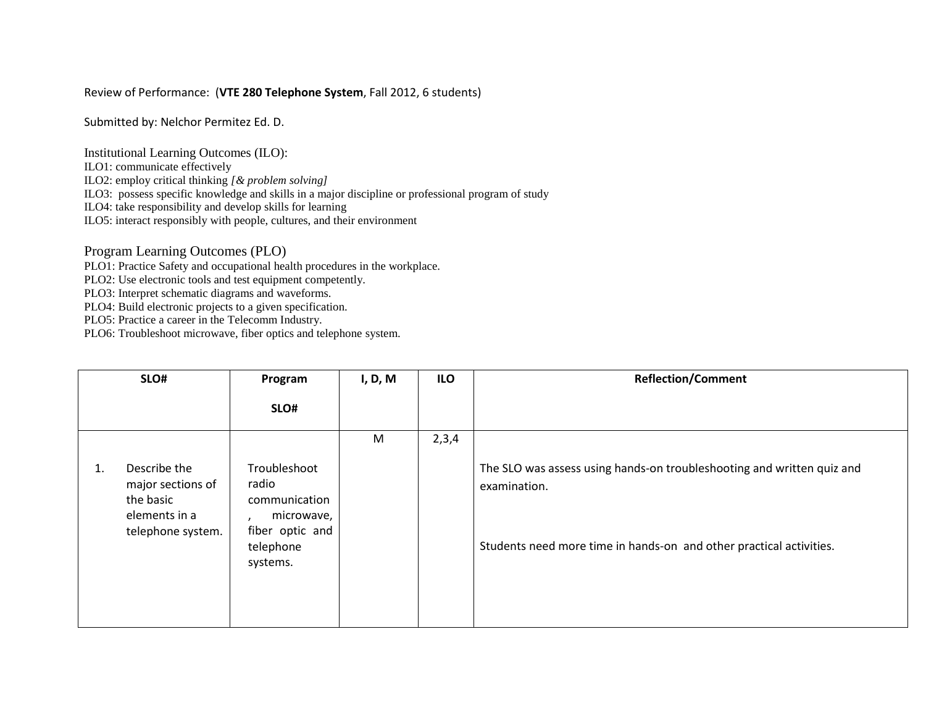#### Review of Performance: (**VTE 280 Telephone System**, Fall 2012, 6 students)

Submitted by: Nelchor Permitez Ed. D.

Institutional Learning Outcomes (ILO):

ILO1: communicate effectively

ILO2: employ critical thinking *[& problem solving]*

ILO3: possess specific knowledge and skills in a major discipline or professional program of study

ILO4: take responsibility and develop skills for learning

ILO5: interact responsibly with people, cultures, and their environment

Program Learning Outcomes (PLO)

PLO1: Practice Safety and occupational health procedures in the workplace.

PLO2: Use electronic tools and test equipment competently.

PLO3: Interpret schematic diagrams and waveforms.

PLO4: Build electronic projects to a given specification.

PLO5: Practice a career in the Telecomm Industry.

| SLO# |                                                                                      | Program                                                                                          | I, D, M | ILO   | <b>Reflection/Comment</b>                                                                                                                                     |
|------|--------------------------------------------------------------------------------------|--------------------------------------------------------------------------------------------------|---------|-------|---------------------------------------------------------------------------------------------------------------------------------------------------------------|
|      |                                                                                      | SLO#                                                                                             |         |       |                                                                                                                                                               |
|      |                                                                                      |                                                                                                  | M       | 2,3,4 |                                                                                                                                                               |
| 1.   | Describe the<br>major sections of<br>the basic<br>elements in a<br>telephone system. | Troubleshoot<br>radio<br>communication<br>microwave,<br>fiber optic and<br>telephone<br>systems. |         |       | The SLO was assess using hands-on troubleshooting and written quiz and<br>examination.<br>Students need more time in hands-on and other practical activities. |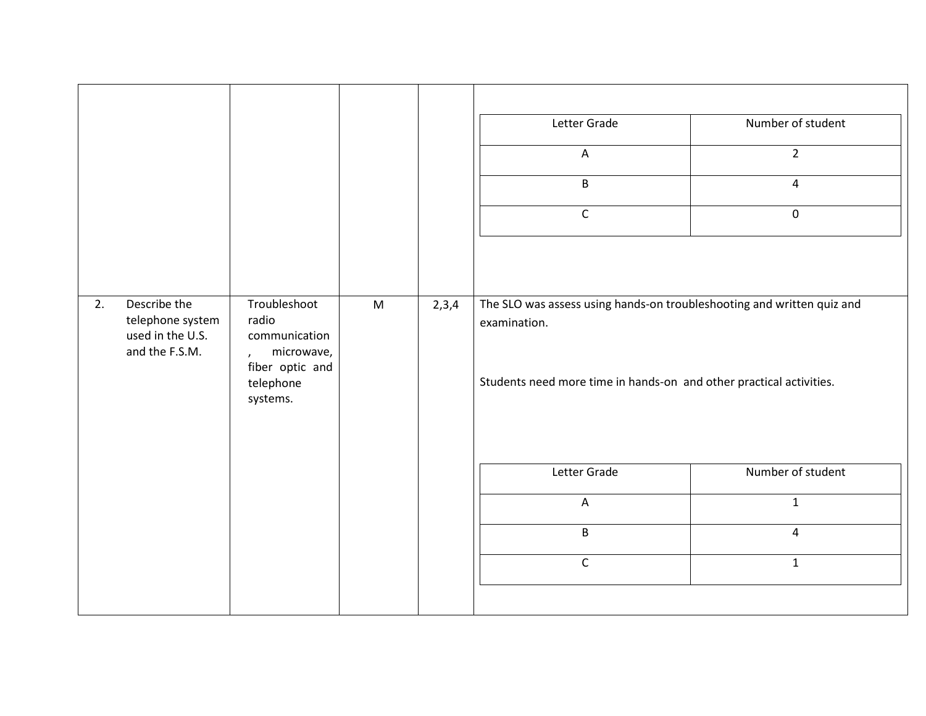|    |                                                                        |                                                                                                                  |           |       | Letter Grade<br>$\boldsymbol{\mathsf{A}}$<br>$\sf B$<br>$\mathsf C$                                                                                           | Number of student<br>$\overline{2}$<br>$\overline{4}$<br>$\boldsymbol{0}$ |
|----|------------------------------------------------------------------------|------------------------------------------------------------------------------------------------------------------|-----------|-------|---------------------------------------------------------------------------------------------------------------------------------------------------------------|---------------------------------------------------------------------------|
| 2. | Describe the<br>telephone system<br>used in the U.S.<br>and the F.S.M. | Troubleshoot<br>radio<br>communication<br>microwave,<br>$\mathbf{r}$<br>fiber optic and<br>telephone<br>systems. | ${\sf M}$ | 2,3,4 | The SLO was assess using hands-on troubleshooting and written quiz and<br>examination.<br>Students need more time in hands-on and other practical activities. |                                                                           |
|    |                                                                        |                                                                                                                  |           |       | Letter Grade                                                                                                                                                  | Number of student                                                         |
|    |                                                                        |                                                                                                                  |           |       | $\overline{A}$                                                                                                                                                | $\mathbf{1}$                                                              |
|    |                                                                        |                                                                                                                  |           |       | $\sf B$                                                                                                                                                       | $\overline{4}$                                                            |
|    |                                                                        |                                                                                                                  |           |       | $\mathsf C$                                                                                                                                                   | $\mathbf{1}$                                                              |
|    |                                                                        |                                                                                                                  |           |       |                                                                                                                                                               |                                                                           |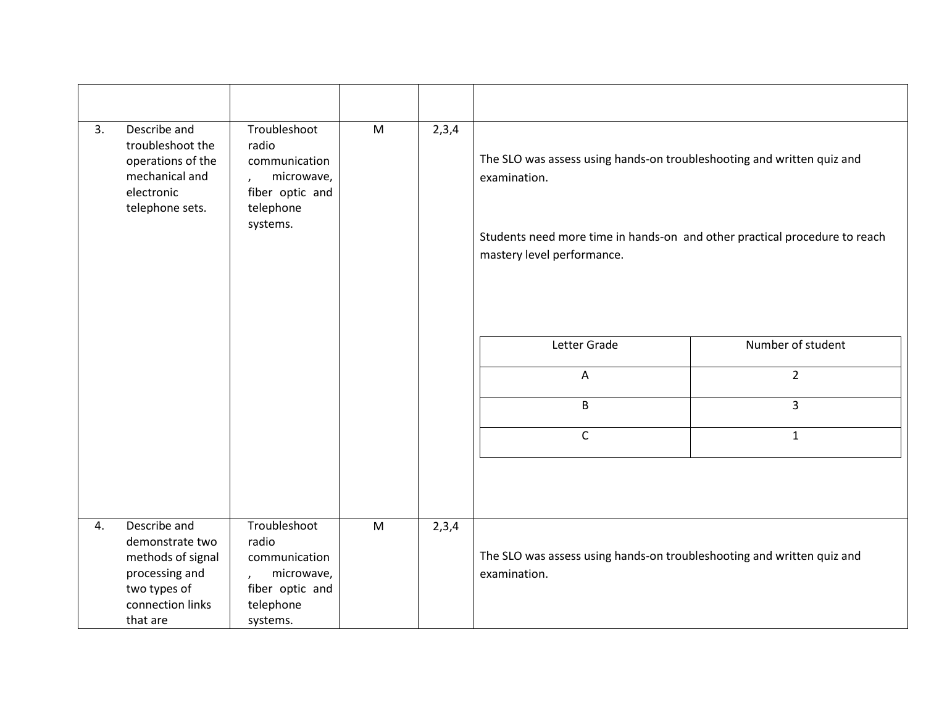| 3. | Describe and<br>troubleshoot the<br>operations of the<br>mechanical and<br>electronic<br>telephone sets.               | Troubleshoot<br>radio<br>communication<br>microwave,<br>fiber optic and<br>telephone<br>systems. | M | 2,3,4 | The SLO was assess using hands-on troubleshooting and written quiz and<br>examination.<br>Students need more time in hands-on and other practical procedure to reach<br>mastery level performance. |                   |
|----|------------------------------------------------------------------------------------------------------------------------|--------------------------------------------------------------------------------------------------|---|-------|----------------------------------------------------------------------------------------------------------------------------------------------------------------------------------------------------|-------------------|
|    |                                                                                                                        |                                                                                                  |   |       | Letter Grade                                                                                                                                                                                       | Number of student |
|    |                                                                                                                        |                                                                                                  |   |       | A                                                                                                                                                                                                  | $\overline{2}$    |
|    |                                                                                                                        |                                                                                                  |   |       | $\mathsf B$                                                                                                                                                                                        | 3                 |
|    |                                                                                                                        |                                                                                                  |   |       | $\mathsf{C}$                                                                                                                                                                                       | $\mathbf{1}$      |
|    |                                                                                                                        |                                                                                                  |   |       |                                                                                                                                                                                                    |                   |
| 4. | Describe and<br>demonstrate two<br>methods of signal<br>processing and<br>two types of<br>connection links<br>that are | Troubleshoot<br>radio<br>communication<br>microwave,<br>fiber optic and<br>telephone<br>systems. | M | 2,3,4 | The SLO was assess using hands-on troubleshooting and written quiz and<br>examination.                                                                                                             |                   |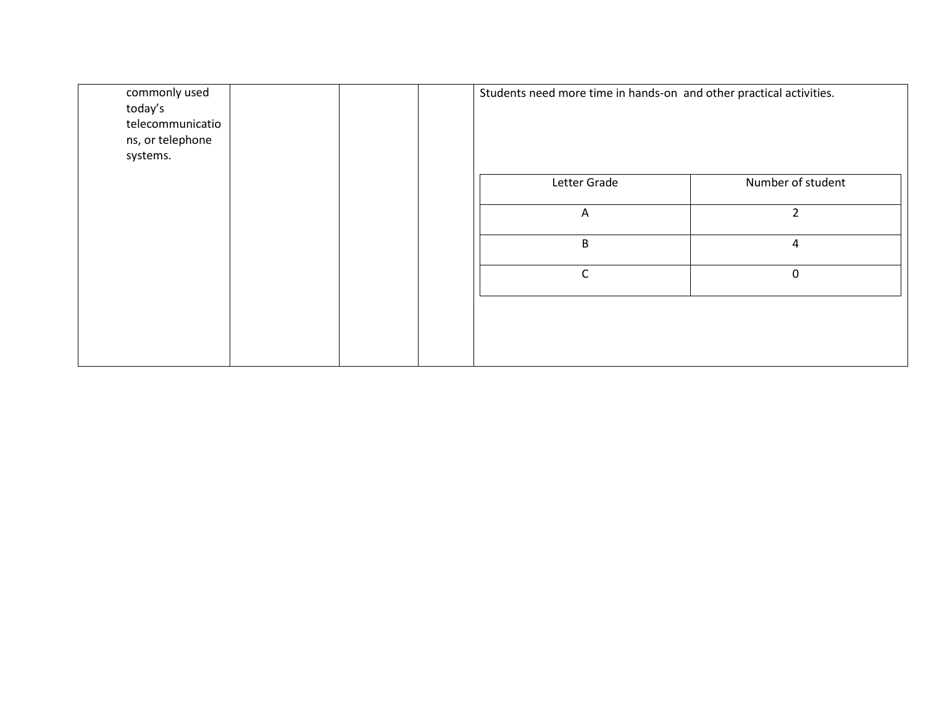| commonly used<br>today's<br>telecommunicatio<br>ns, or telephone<br>systems. |  |              | Students need more time in hands-on and other practical activities. |
|------------------------------------------------------------------------------|--|--------------|---------------------------------------------------------------------|
|                                                                              |  | Letter Grade | Number of student                                                   |
|                                                                              |  | $\mathsf{A}$ | $\overline{2}$                                                      |
|                                                                              |  | B            | 4                                                                   |
|                                                                              |  | $\mathsf{C}$ | $\mathbf 0$                                                         |
|                                                                              |  |              |                                                                     |
|                                                                              |  |              |                                                                     |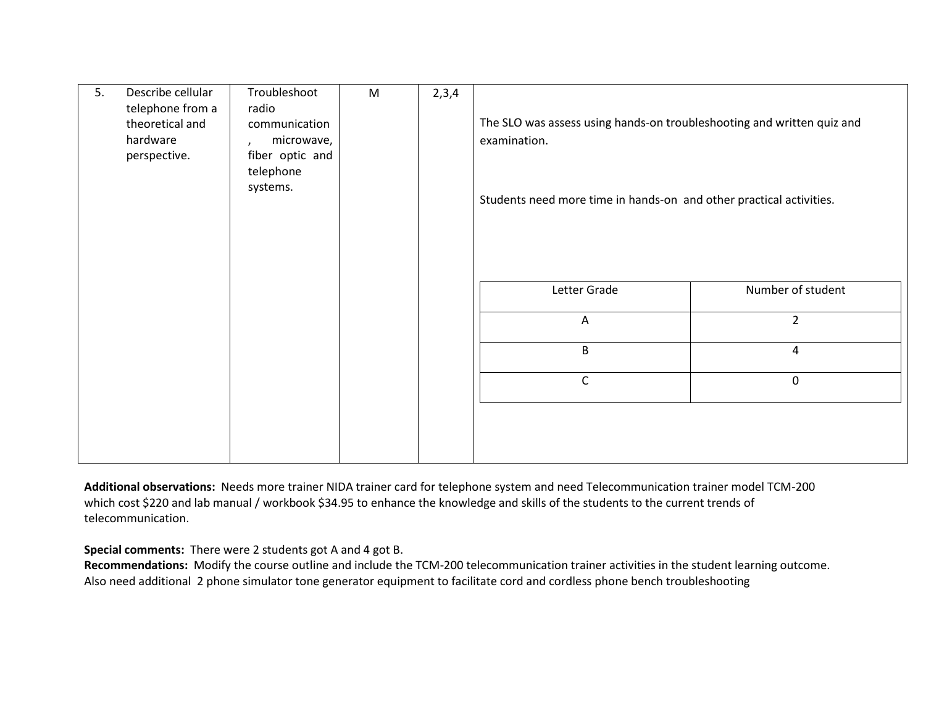| 5. | Describe cellular                   | Troubleshoot               | M | 2,3,4 |                                                                        |                   |
|----|-------------------------------------|----------------------------|---|-------|------------------------------------------------------------------------|-------------------|
|    | telephone from a<br>theoretical and | radio<br>communication     |   |       | The SLO was assess using hands-on troubleshooting and written quiz and |                   |
|    | hardware                            | microwave,<br>$\mathbf{r}$ |   |       | examination.                                                           |                   |
|    | perspective.                        | fiber optic and            |   |       |                                                                        |                   |
|    |                                     | telephone                  |   |       |                                                                        |                   |
|    |                                     | systems.                   |   |       | Students need more time in hands-on and other practical activities.    |                   |
|    |                                     |                            |   |       |                                                                        |                   |
|    |                                     |                            |   |       |                                                                        |                   |
|    |                                     |                            |   |       |                                                                        |                   |
|    |                                     |                            |   |       |                                                                        |                   |
|    |                                     |                            |   |       | Letter Grade                                                           | Number of student |
|    |                                     |                            |   |       |                                                                        |                   |
|    |                                     |                            |   |       | A                                                                      | $\overline{2}$    |
|    |                                     |                            |   |       | B                                                                      | 4                 |
|    |                                     |                            |   |       |                                                                        |                   |
|    |                                     |                            |   |       | $\mathsf{C}$                                                           | $\pmb{0}$         |
|    |                                     |                            |   |       |                                                                        |                   |
|    |                                     |                            |   |       |                                                                        |                   |
|    |                                     |                            |   |       |                                                                        |                   |
|    |                                     |                            |   |       |                                                                        |                   |

**Additional observations:** Needs more trainer NIDA trainer card for telephone system and need Telecommunication trainer model TCM-200 which cost \$220 and lab manual / workbook \$34.95 to enhance the knowledge and skills of the students to the current trends of telecommunication.

**Special comments:** There were 2 students got A and 4 got B.

**Recommendations:** Modify the course outline and include the TCM-200 telecommunication trainer activities in the student learning outcome. Also need additional 2 phone simulator tone generator equipment to facilitate cord and cordless phone bench troubleshooting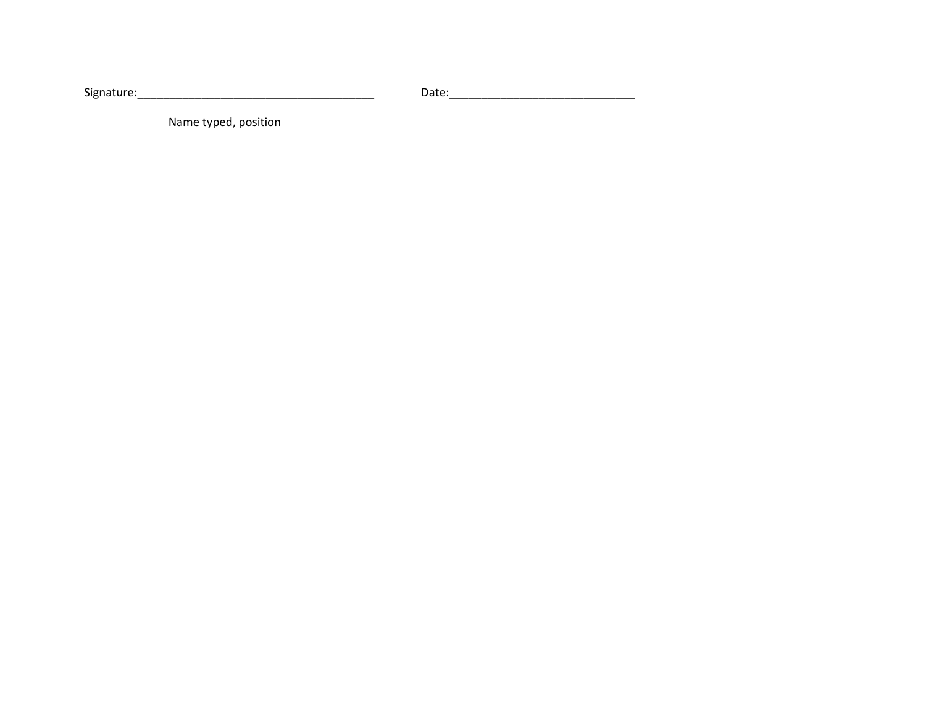Signature:\_\_\_\_\_\_\_\_\_\_\_\_\_\_\_\_\_\_\_\_\_\_\_\_\_\_\_\_\_\_\_\_\_\_\_\_\_ Date:\_\_\_\_\_\_\_\_\_\_\_\_\_\_\_\_\_\_\_\_\_\_\_\_\_\_\_\_\_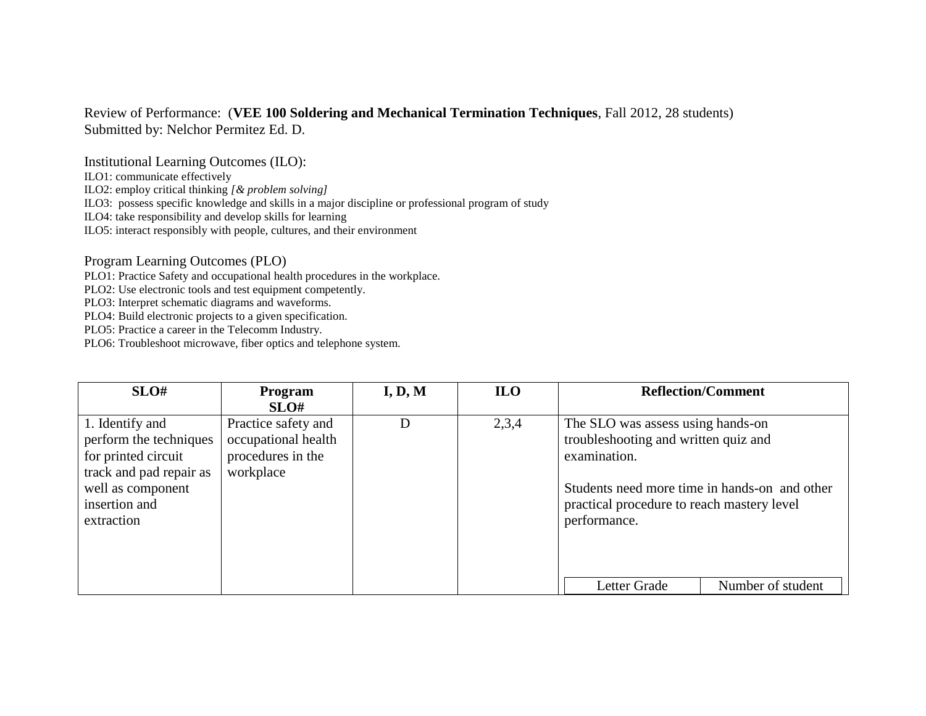## Review of Performance: (**VEE 100 Soldering and Mechanical Termination Techniques**, Fall 2012, 28 students) Submitted by: Nelchor Permitez Ed. D.

Institutional Learning Outcomes (ILO):

ILO1: communicate effectively

ILO2: employ critical thinking *[& problem solving]*

ILO3: possess specific knowledge and skills in a major discipline or professional program of study

ILO4: take responsibility and develop skills for learning

ILO5: interact responsibly with people, cultures, and their environment

Program Learning Outcomes (PLO)

PLO1: Practice Safety and occupational health procedures in the workplace.

PLO2: Use electronic tools and test equipment competently.

PLO3: Interpret schematic diagrams and waveforms.

PLO4: Build electronic projects to a given specification.

PLO5: Practice a career in the Telecomm Industry.

| SLO#                                                                                                                                            | <b>Program</b><br>SLO#                                                       | I, D, M | <b>ILO</b> |                                                                                                                                                                                                          | <b>Reflection/Comment</b> |
|-------------------------------------------------------------------------------------------------------------------------------------------------|------------------------------------------------------------------------------|---------|------------|----------------------------------------------------------------------------------------------------------------------------------------------------------------------------------------------------------|---------------------------|
| 1. Identify and<br>perform the techniques<br>for printed circuit<br>track and pad repair as<br>well as component<br>insertion and<br>extraction | Practice safety and<br>occupational health<br>procedures in the<br>workplace | D       | 2,3,4      | The SLO was assess using hands-on<br>troubleshooting and written quiz and<br>examination.<br>Students need more time in hands-on and other<br>practical procedure to reach mastery level<br>performance. |                           |
|                                                                                                                                                 |                                                                              |         |            | Letter Grade                                                                                                                                                                                             | Number of student         |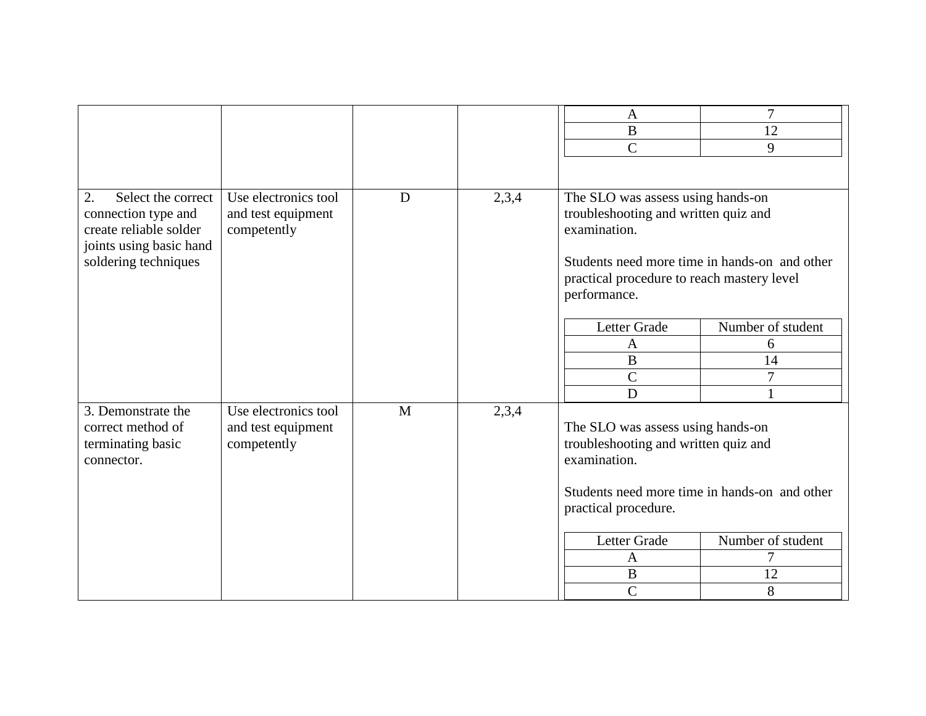|                          |                      |   |       | $\mathbf{A}$                                  | $\overline{7}$    |
|--------------------------|----------------------|---|-------|-----------------------------------------------|-------------------|
|                          |                      |   |       | $\, {\bf B}$                                  | 12                |
|                          |                      |   |       | $\mathsf{C}$                                  | 9                 |
|                          |                      |   |       |                                               |                   |
| 2.<br>Select the correct | Use electronics tool | D | 2,3,4 | The SLO was assess using hands-on             |                   |
| connection type and      | and test equipment   |   |       | troubleshooting and written quiz and          |                   |
| create reliable solder   | competently          |   |       | examination.                                  |                   |
| joints using basic hand  |                      |   |       |                                               |                   |
| soldering techniques     |                      |   |       | Students need more time in hands-on and other |                   |
|                          |                      |   |       | practical procedure to reach mastery level    |                   |
|                          |                      |   |       | performance.                                  |                   |
|                          |                      |   |       | Letter Grade                                  | Number of student |
|                          |                      |   |       | A                                             | 6                 |
|                          |                      |   |       | $\bf{B}$                                      | 14                |
|                          |                      |   |       | $\mathsf{C}$                                  | $\overline{7}$    |
|                          |                      |   |       | D                                             |                   |
| 3. Demonstrate the       | Use electronics tool | M | 2,3,4 |                                               |                   |
| correct method of        | and test equipment   |   |       | The SLO was assess using hands-on             |                   |
| terminating basic        | competently          |   |       | troubleshooting and written quiz and          |                   |
| connector.               |                      |   |       | examination.                                  |                   |
|                          |                      |   |       | Students need more time in hands-on and other |                   |
|                          |                      |   |       | practical procedure.                          |                   |
|                          |                      |   |       |                                               |                   |
|                          |                      |   |       | Letter Grade                                  | Number of student |
|                          |                      |   |       | A                                             | 7                 |
|                          |                      |   |       | $\, {\bf B}$                                  | 12                |
|                          |                      |   |       | $\overline{C}$                                | 8                 |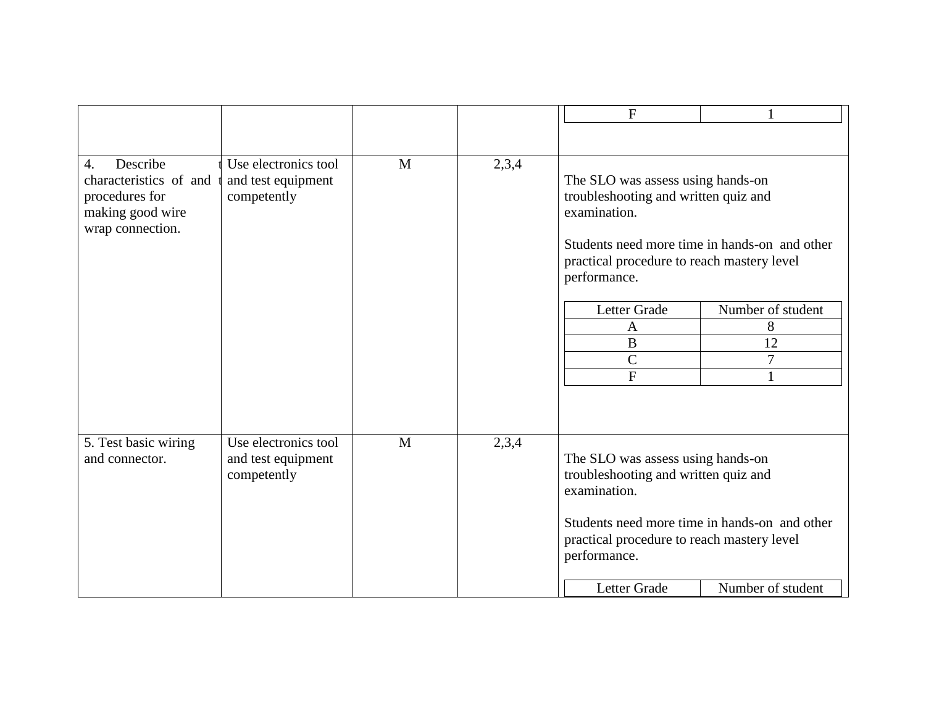|                              |                      |   |       | $\mathbf{F}$                                  |                   |
|------------------------------|----------------------|---|-------|-----------------------------------------------|-------------------|
|                              |                      |   |       |                                               |                   |
|                              |                      |   |       |                                               |                   |
| Describe<br>$\overline{4}$ . | Use electronics tool | M | 2,3,4 |                                               |                   |
| characteristics of and       | and test equipment   |   |       | The SLO was assess using hands-on             |                   |
| procedures for               | competently          |   |       | troubleshooting and written quiz and          |                   |
| making good wire             |                      |   |       | examination.                                  |                   |
| wrap connection.             |                      |   |       |                                               |                   |
|                              |                      |   |       | Students need more time in hands-on and other |                   |
|                              |                      |   |       | practical procedure to reach mastery level    |                   |
|                              |                      |   |       | performance.                                  |                   |
|                              |                      |   |       | Letter Grade                                  | Number of student |
|                              |                      |   |       | $\mathbf{A}$                                  | 8                 |
|                              |                      |   |       | $\bf{B}$                                      | 12                |
|                              |                      |   |       | $\mathcal{C}$                                 | $\overline{7}$    |
|                              |                      |   |       | $\mathbf{F}$                                  |                   |
|                              |                      |   |       |                                               |                   |
|                              |                      |   |       |                                               |                   |
|                              |                      |   |       |                                               |                   |
| 5. Test basic wiring         | Use electronics tool | M | 2,3,4 |                                               |                   |
| and connector.               | and test equipment   |   |       | The SLO was assess using hands-on             |                   |
|                              | competently          |   |       | troubleshooting and written quiz and          |                   |
|                              |                      |   |       | examination.                                  |                   |
|                              |                      |   |       | Students need more time in hands-on and other |                   |
|                              |                      |   |       | practical procedure to reach mastery level    |                   |
|                              |                      |   |       | performance.                                  |                   |
|                              |                      |   |       |                                               |                   |
|                              |                      |   |       | Letter Grade                                  | Number of student |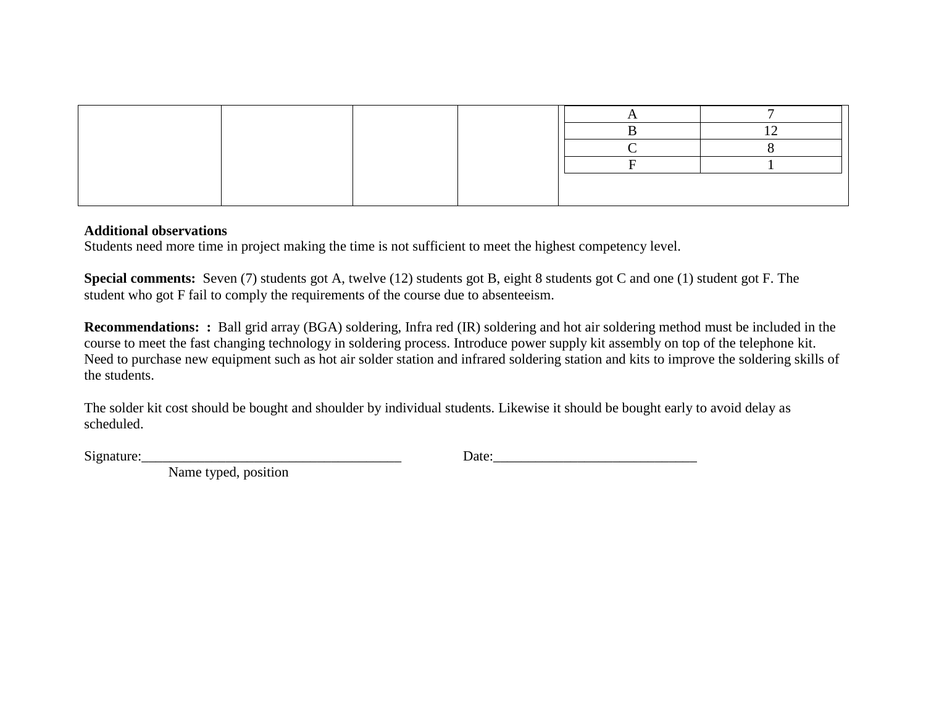#### **Additional observations**

Students need more time in project making the time is not sufficient to meet the highest competency level.

**Special comments:** Seven (7) students got A, twelve (12) students got B, eight 8 students got C and one (1) student got F. The student who got F fail to comply the requirements of the course due to absenteeism.

**Recommendations: :** Ball grid array (BGA) soldering, Infra red (IR) soldering and hot air soldering method must be included in the course to meet the fast changing technology in soldering process. Introduce power supply kit assembly on top of the telephone kit. Need to purchase new equipment such as hot air solder station and infrared soldering station and kits to improve the soldering skills of the students.

The solder kit cost should be bought and shoulder by individual students. Likewise it should be bought early to avoid delay as scheduled.

 $Signature:$  Date: 200  $Date:$  200  $Date:$  200  $Date:$  200  $Date:$  200  $Date:$  200  $Date:$  200  $Date:$  200  $Date:$  200  $Date:$  200  $Date:$  200  $Date:$  200  $Date:$  200  $Date:$  200  $Date:$  200  $Date:$  200  $Date:$  200  $Date:$  200  $Date:$  200  $Date:$  200  $Date:$  200  $Date:$  200  $Date:$  200  $Date:$  20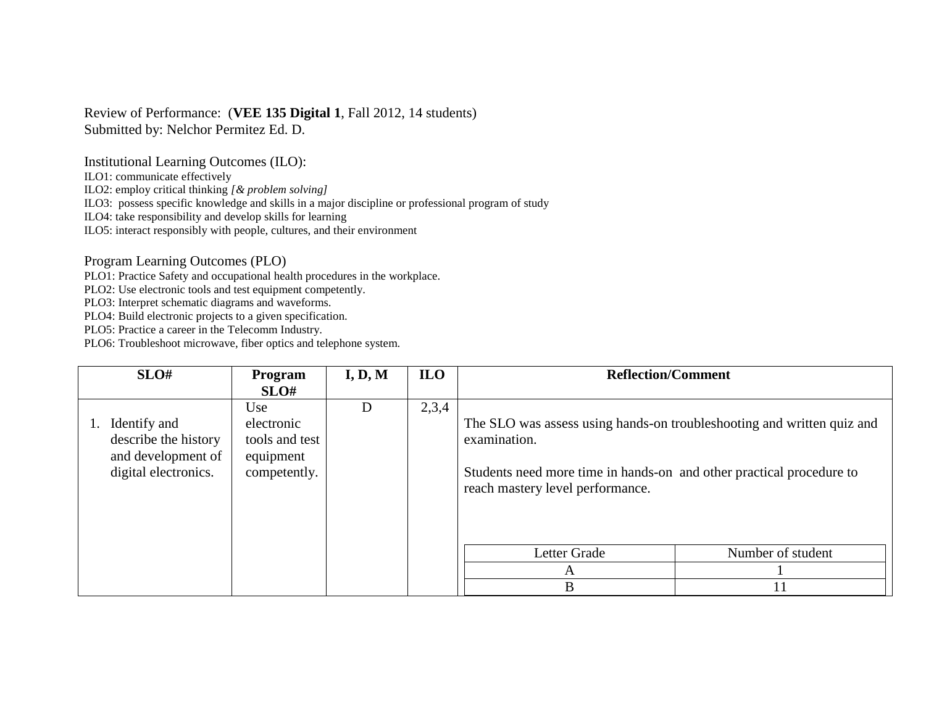### Review of Performance: (**VEE 135 Digital 1**, Fall 2012, 14 students) Submitted by: Nelchor Permitez Ed. D.

Institutional Learning Outcomes (ILO):

ILO1: communicate effectively

ILO2: employ critical thinking *[& problem solving]*

ILO3: possess specific knowledge and skills in a major discipline or professional program of study

ILO4: take responsibility and develop skills for learning

ILO5: interact responsibly with people, cultures, and their environment

Program Learning Outcomes (PLO)

PLO1: Practice Safety and occupational health procedures in the workplace.

PLO2: Use electronic tools and test equipment competently.

PLO3: Interpret schematic diagrams and waveforms.

PLO4: Build electronic projects to a given specification.

PLO5: Practice a career in the Telecomm Industry.

| SLO#                                                                               | Program                                                          | I, D, M | <b>ILO</b> | <b>Reflection/Comment</b>                                                                                                                                                                          |                   |
|------------------------------------------------------------------------------------|------------------------------------------------------------------|---------|------------|----------------------------------------------------------------------------------------------------------------------------------------------------------------------------------------------------|-------------------|
|                                                                                    | SLO#                                                             |         |            |                                                                                                                                                                                                    |                   |
| Identify and<br>describe the history<br>and development of<br>digital electronics. | Use<br>electronic<br>tools and test<br>equipment<br>competently. | D       | 2,3,4      | The SLO was assess using hands-on troubleshooting and written quiz and<br>examination.<br>Students need more time in hands-on and other practical procedure to<br>reach mastery level performance. |                   |
|                                                                                    |                                                                  |         |            | Letter Grade                                                                                                                                                                                       | Number of student |
|                                                                                    |                                                                  |         |            | A                                                                                                                                                                                                  |                   |
|                                                                                    |                                                                  |         |            | B                                                                                                                                                                                                  | 11                |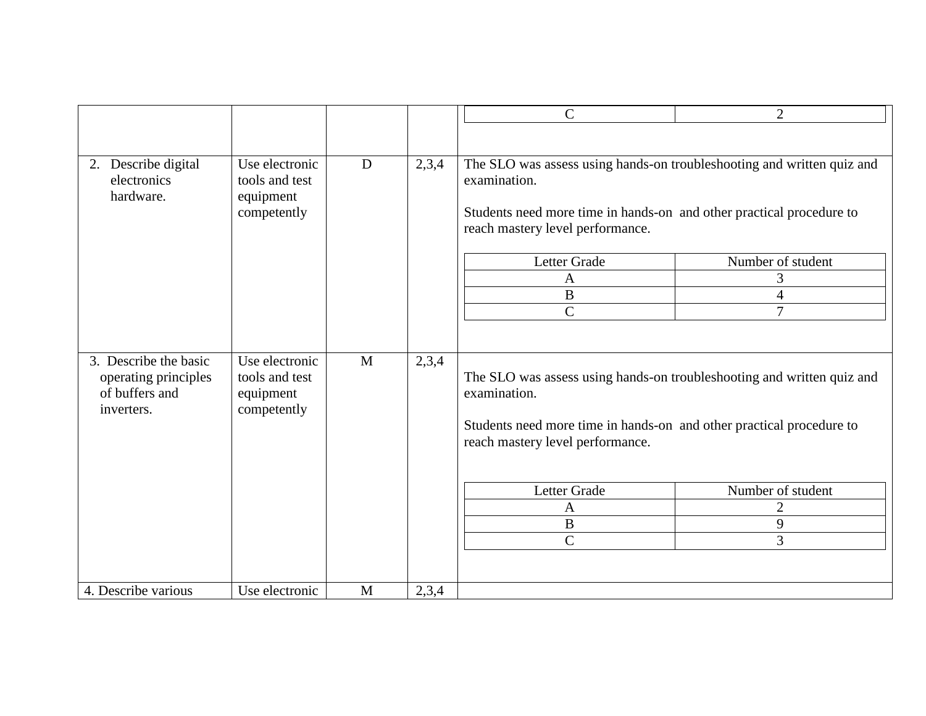|                                                                               |                                                              |              |       | $\mathsf{C}$                                                                                                                                                                                       | 2                 |
|-------------------------------------------------------------------------------|--------------------------------------------------------------|--------------|-------|----------------------------------------------------------------------------------------------------------------------------------------------------------------------------------------------------|-------------------|
|                                                                               |                                                              |              |       |                                                                                                                                                                                                    |                   |
| 2. Describe digital<br>electronics<br>hardware.                               | Use electronic<br>tools and test<br>equipment<br>competently | D            | 2,3,4 | The SLO was assess using hands-on troubleshooting and written quiz and<br>examination.<br>Students need more time in hands-on and other practical procedure to<br>reach mastery level performance. |                   |
|                                                                               |                                                              |              |       | Letter Grade                                                                                                                                                                                       | Number of student |
|                                                                               |                                                              |              |       | $\mathbf{A}$                                                                                                                                                                                       | 3                 |
|                                                                               |                                                              |              |       | $\bf{B}$                                                                                                                                                                                           | $\overline{4}$    |
|                                                                               |                                                              |              |       | $\overline{C}$                                                                                                                                                                                     | $\overline{7}$    |
| 3. Describe the basic<br>operating principles<br>of buffers and<br>inverters. | Use electronic<br>tools and test<br>equipment<br>competently | $\mathbf{M}$ | 2,3,4 | The SLO was assess using hands-on troubleshooting and written quiz and<br>examination.<br>Students need more time in hands-on and other practical procedure to<br>reach mastery level performance. |                   |
|                                                                               |                                                              |              |       | Letter Grade                                                                                                                                                                                       | Number of student |
|                                                                               |                                                              |              |       | $\mathbf{A}$                                                                                                                                                                                       | $\overline{2}$    |
|                                                                               |                                                              |              |       | $\, {\bf B}$                                                                                                                                                                                       | 9                 |
|                                                                               |                                                              |              |       | $\overline{C}$                                                                                                                                                                                     | 3                 |
| 4. Describe various                                                           | Use electronic                                               | M            | 2,3,4 |                                                                                                                                                                                                    |                   |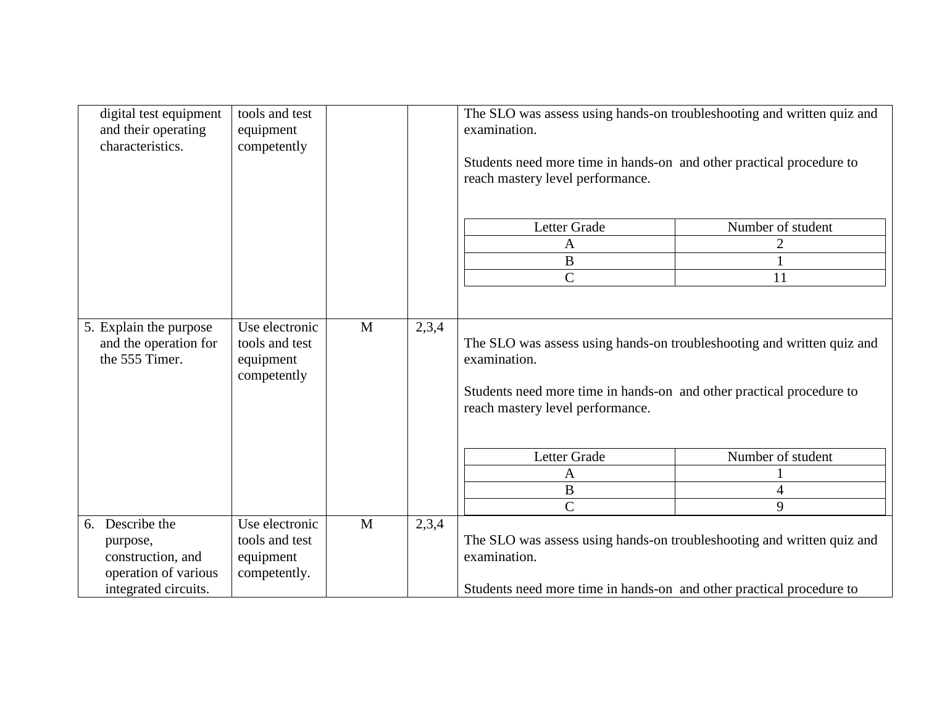|    | digital test equipment<br>and their operating<br>characteristics.                             | tools and test<br>equipment<br>competently                    |   |       | The SLO was assess using hands-on troubleshooting and written quiz and<br>examination.<br>Students need more time in hands-on and other practical procedure to<br>reach mastery level performance. |                             |  |
|----|-----------------------------------------------------------------------------------------------|---------------------------------------------------------------|---|-------|----------------------------------------------------------------------------------------------------------------------------------------------------------------------------------------------------|-----------------------------|--|
|    |                                                                                               |                                                               |   |       | Letter Grade<br>A                                                                                                                                                                                  | Number of student<br>2      |  |
|    |                                                                                               |                                                               |   |       | $\boldsymbol{B}$                                                                                                                                                                                   |                             |  |
|    |                                                                                               |                                                               |   |       | $\overline{C}$                                                                                                                                                                                     | 11                          |  |
|    | 5. Explain the purpose<br>and the operation for<br>the 555 Timer.                             | Use electronic<br>tools and test<br>equipment<br>competently  | M | 2,3,4 | The SLO was assess using hands-on troubleshooting and written quiz and<br>examination.<br>Students need more time in hands-on and other practical procedure to                                     |                             |  |
|    |                                                                                               |                                                               |   |       | reach mastery level performance.<br>Letter Grade<br>A<br>$\bf{B}$<br>$\overline{C}$                                                                                                                | Number of student<br>4<br>9 |  |
| 6. | Describe the<br>purpose,<br>construction, and<br>operation of various<br>integrated circuits. | Use electronic<br>tools and test<br>equipment<br>competently. | M | 2,3,4 | The SLO was assess using hands-on troubleshooting and written quiz and<br>examination.<br>Students need more time in hands-on and other practical procedure to                                     |                             |  |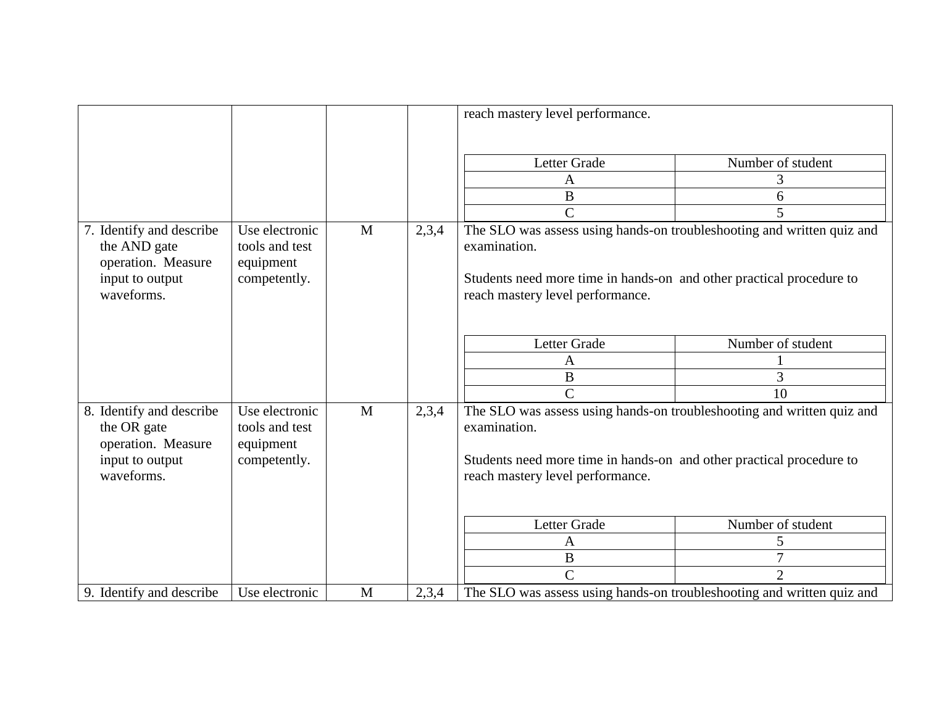|                                                                                                 |                                                               |              |       | reach mastery level performance.                                                                                                                                                                                                              |                                               |
|-------------------------------------------------------------------------------------------------|---------------------------------------------------------------|--------------|-------|-----------------------------------------------------------------------------------------------------------------------------------------------------------------------------------------------------------------------------------------------|-----------------------------------------------|
| 7. Identify and describe<br>the AND gate<br>operation. Measure<br>input to output<br>waveforms. | Use electronic<br>tools and test<br>equipment<br>competently. | $\mathbf{M}$ | 2,3,4 | Letter Grade<br>Α<br>B<br>$\mathcal{C}$<br>The SLO was assess using hands-on troubleshooting and written quiz and<br>examination.<br>Students need more time in hands-on and other practical procedure to<br>reach mastery level performance. | Number of student<br>3<br>6<br>5              |
|                                                                                                 |                                                               |              |       | Letter Grade<br>Α<br>$\overline{B}$<br>$\overline{C}$                                                                                                                                                                                         | Number of student<br>3<br>10                  |
| 8. Identify and describe<br>the OR gate<br>operation. Measure<br>input to output<br>waveforms.  | Use electronic<br>tools and test<br>equipment<br>competently. | M            | 2,3,4 | The SLO was assess using hands-on troubleshooting and written quiz and<br>examination.<br>Students need more time in hands-on and other practical procedure to<br>reach mastery level performance.                                            |                                               |
|                                                                                                 |                                                               |              |       | Letter Grade<br>A<br>$\bf{B}$<br>$\overline{C}$                                                                                                                                                                                               | Number of student<br>5<br>7<br>$\overline{2}$ |
| 9. Identify and describe                                                                        | Use electronic                                                | M            | 2,3,4 | The SLO was assess using hands-on troubleshooting and written quiz and                                                                                                                                                                        |                                               |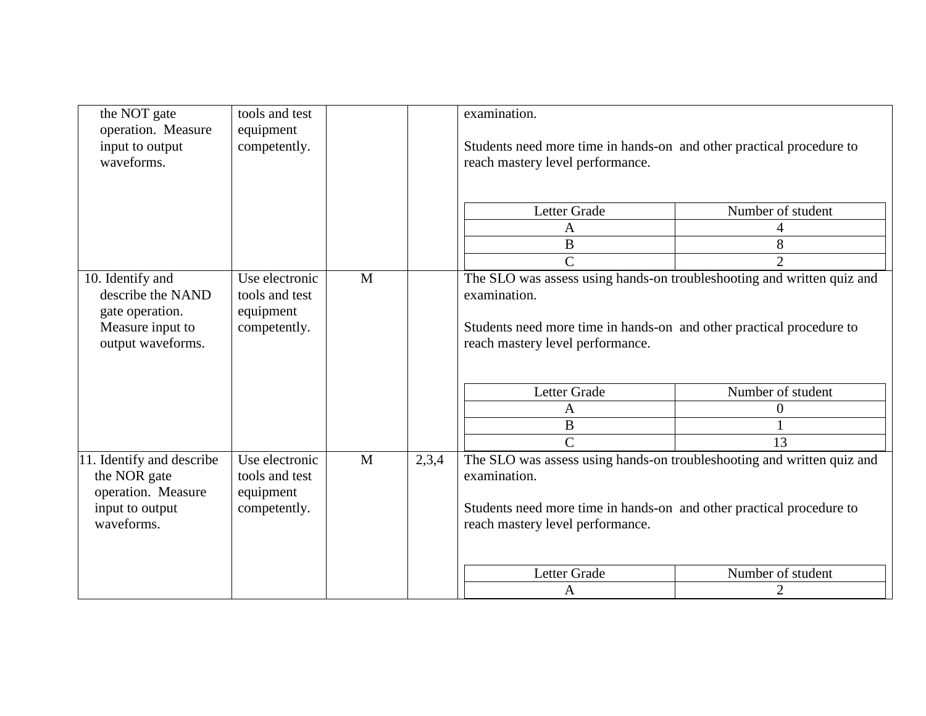| the NOT gate<br>operation. Measure<br>input to output<br>waveforms.                               | tools and test<br>equipment<br>competently.                   |   |                                                                                                                                                                                                    | examination.<br>Students need more time in hands-on and other practical procedure to<br>reach mastery level performance.                                                                           |                   |
|---------------------------------------------------------------------------------------------------|---------------------------------------------------------------|---|----------------------------------------------------------------------------------------------------------------------------------------------------------------------------------------------------|----------------------------------------------------------------------------------------------------------------------------------------------------------------------------------------------------|-------------------|
|                                                                                                   |                                                               |   |                                                                                                                                                                                                    | Letter Grade                                                                                                                                                                                       | Number of student |
|                                                                                                   |                                                               |   |                                                                                                                                                                                                    | A                                                                                                                                                                                                  | 4                 |
|                                                                                                   |                                                               |   |                                                                                                                                                                                                    | B                                                                                                                                                                                                  | 8                 |
|                                                                                                   |                                                               |   |                                                                                                                                                                                                    | $\overline{C}$                                                                                                                                                                                     | $\overline{2}$    |
| 10. Identify and<br>describe the NAND<br>gate operation.<br>Measure input to<br>output waveforms. | Use electronic<br>tools and test<br>equipment<br>competently. | M | The SLO was assess using hands-on troubleshooting and written quiz and<br>examination.<br>Students need more time in hands-on and other practical procedure to<br>reach mastery level performance. |                                                                                                                                                                                                    |                   |
|                                                                                                   |                                                               |   |                                                                                                                                                                                                    | Letter Grade                                                                                                                                                                                       | Number of student |
|                                                                                                   |                                                               |   |                                                                                                                                                                                                    | A                                                                                                                                                                                                  | $\theta$          |
|                                                                                                   |                                                               |   |                                                                                                                                                                                                    | $\overline{B}$                                                                                                                                                                                     |                   |
|                                                                                                   |                                                               |   |                                                                                                                                                                                                    | $\overline{C}$                                                                                                                                                                                     | 13                |
| 11. Identify and describe<br>the NOR gate<br>operation. Measure<br>input to output<br>waveforms.  | Use electronic<br>tools and test<br>equipment<br>competently. | M | 2,3,4                                                                                                                                                                                              | The SLO was assess using hands-on troubleshooting and written quiz and<br>examination.<br>Students need more time in hands-on and other practical procedure to<br>reach mastery level performance. |                   |
|                                                                                                   |                                                               |   |                                                                                                                                                                                                    | Letter Grade                                                                                                                                                                                       | Number of student |
|                                                                                                   |                                                               |   |                                                                                                                                                                                                    | A                                                                                                                                                                                                  | $\overline{2}$    |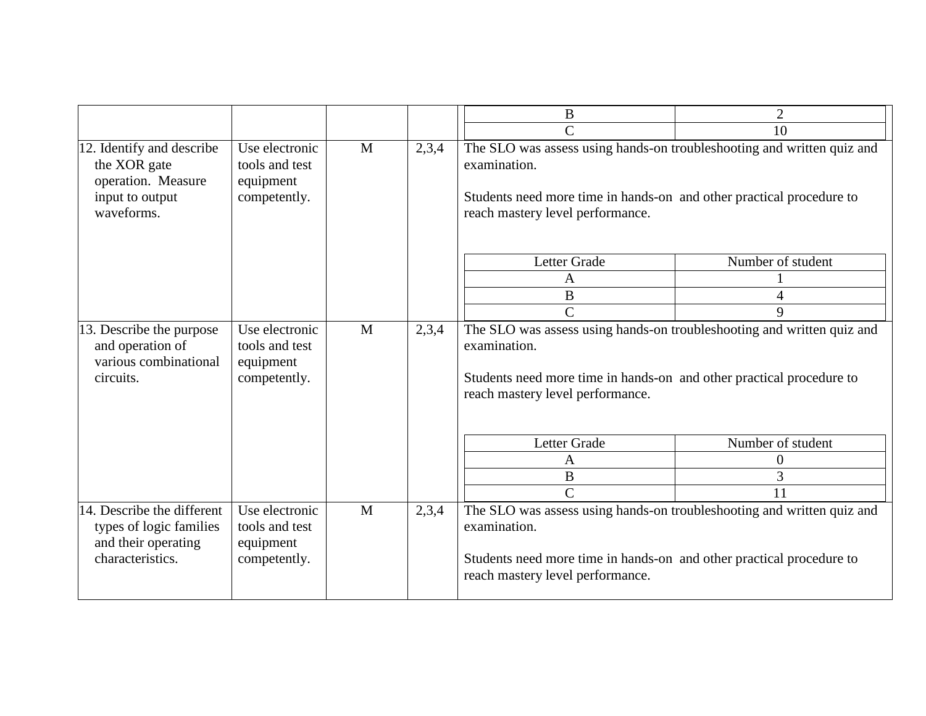|                                                                                                  |                                                               |   |       | B                                                                                                                                                                                                  | $\overline{2}$    |
|--------------------------------------------------------------------------------------------------|---------------------------------------------------------------|---|-------|----------------------------------------------------------------------------------------------------------------------------------------------------------------------------------------------------|-------------------|
|                                                                                                  |                                                               |   |       | $\overline{C}$                                                                                                                                                                                     | 10                |
| 12. Identify and describe<br>the XOR gate<br>operation. Measure<br>input to output<br>waveforms. | Use electronic<br>tools and test<br>equipment<br>competently. | M | 2,3,4 | The SLO was assess using hands-on troubleshooting and written quiz and<br>examination.<br>Students need more time in hands-on and other practical procedure to<br>reach mastery level performance. |                   |
|                                                                                                  |                                                               |   |       | Letter Grade                                                                                                                                                                                       | Number of student |
|                                                                                                  |                                                               |   |       | A                                                                                                                                                                                                  |                   |
|                                                                                                  |                                                               |   |       | B                                                                                                                                                                                                  | $\overline{4}$    |
|                                                                                                  |                                                               |   |       | $\mathcal{C}$                                                                                                                                                                                      | 9                 |
| 13. Describe the purpose<br>and operation of<br>various combinational<br>circuits.               | Use electronic<br>tools and test<br>equipment<br>competently. | M | 2,3,4 | The SLO was assess using hands-on troubleshooting and written quiz and<br>examination.<br>Students need more time in hands-on and other practical procedure to<br>reach mastery level performance. |                   |
|                                                                                                  |                                                               |   |       | Letter Grade                                                                                                                                                                                       | Number of student |
|                                                                                                  |                                                               |   |       | A                                                                                                                                                                                                  | $\theta$          |
|                                                                                                  |                                                               |   |       | $\bf{B}$                                                                                                                                                                                           | 3                 |
|                                                                                                  |                                                               |   |       | $\mathsf{C}$                                                                                                                                                                                       | 11                |
| 14. Describe the different<br>types of logic families<br>and their operating<br>characteristics. | Use electronic<br>tools and test<br>equipment<br>competently. | M | 2,3,4 | The SLO was assess using hands-on troubleshooting and written quiz and<br>examination.<br>Students need more time in hands-on and other practical procedure to<br>reach mastery level performance. |                   |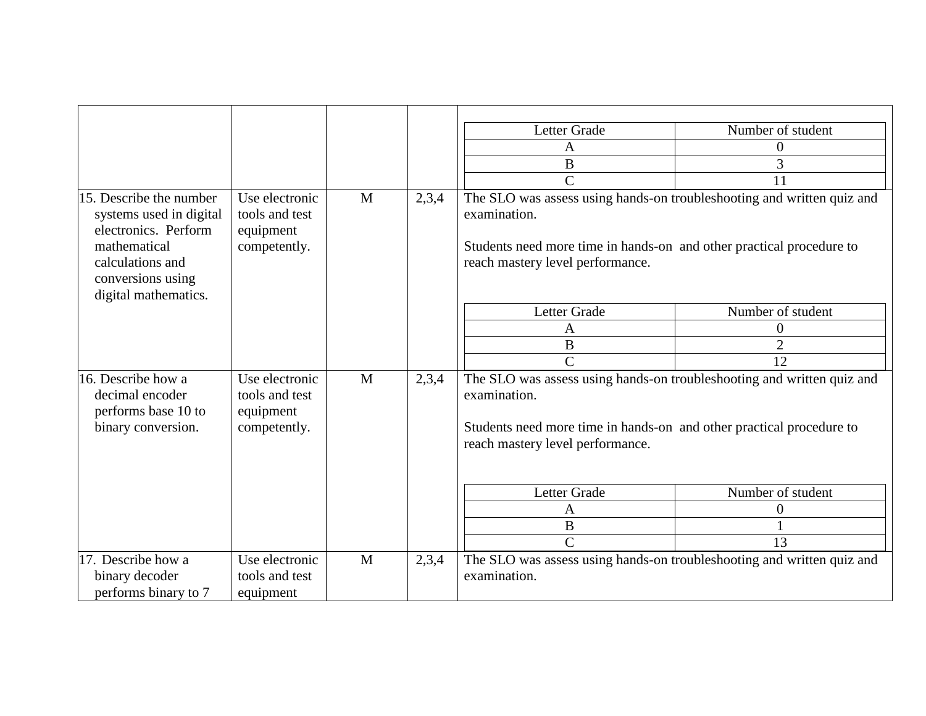|                                                                                                                                                             |                                                               |   |       | Letter Grade                                                                                                                                                                                       | Number of student |
|-------------------------------------------------------------------------------------------------------------------------------------------------------------|---------------------------------------------------------------|---|-------|----------------------------------------------------------------------------------------------------------------------------------------------------------------------------------------------------|-------------------|
|                                                                                                                                                             |                                                               |   |       | A                                                                                                                                                                                                  | 0                 |
|                                                                                                                                                             |                                                               |   |       | B                                                                                                                                                                                                  | 3                 |
|                                                                                                                                                             |                                                               |   |       | $\overline{C}$                                                                                                                                                                                     | 11                |
| 15. Describe the number<br>systems used in digital<br>electronics. Perform<br>mathematical<br>calculations and<br>conversions using<br>digital mathematics. | Use electronic<br>tools and test<br>equipment<br>competently. | M | 2,3,4 | The SLO was assess using hands-on troubleshooting and written quiz and<br>examination.<br>Students need more time in hands-on and other practical procedure to<br>reach mastery level performance. |                   |
|                                                                                                                                                             |                                                               |   |       | Letter Grade                                                                                                                                                                                       | Number of student |
|                                                                                                                                                             |                                                               |   |       | A                                                                                                                                                                                                  | $\boldsymbol{0}$  |
|                                                                                                                                                             |                                                               |   |       | B                                                                                                                                                                                                  | $\overline{2}$    |
|                                                                                                                                                             |                                                               |   |       | $\overline{C}$                                                                                                                                                                                     | 12                |
| 16. Describe how a<br>decimal encoder<br>performs base 10 to<br>binary conversion.                                                                          | Use electronic<br>tools and test<br>equipment<br>competently. | M | 2,3,4 | The SLO was assess using hands-on troubleshooting and written quiz and<br>examination.<br>Students need more time in hands-on and other practical procedure to<br>reach mastery level performance. |                   |
|                                                                                                                                                             |                                                               |   |       | Letter Grade                                                                                                                                                                                       | Number of student |
|                                                                                                                                                             |                                                               |   |       | A                                                                                                                                                                                                  | $\boldsymbol{0}$  |
|                                                                                                                                                             |                                                               |   |       | B                                                                                                                                                                                                  |                   |
|                                                                                                                                                             |                                                               |   |       | $\overline{C}$                                                                                                                                                                                     | 13                |
| 17. Describe how a                                                                                                                                          | Use electronic                                                | M | 2,3,4 | The SLO was assess using hands-on troubleshooting and written quiz and                                                                                                                             |                   |
| binary decoder                                                                                                                                              | tools and test                                                |   |       | examination.                                                                                                                                                                                       |                   |
| performs binary to 7                                                                                                                                        | equipment                                                     |   |       |                                                                                                                                                                                                    |                   |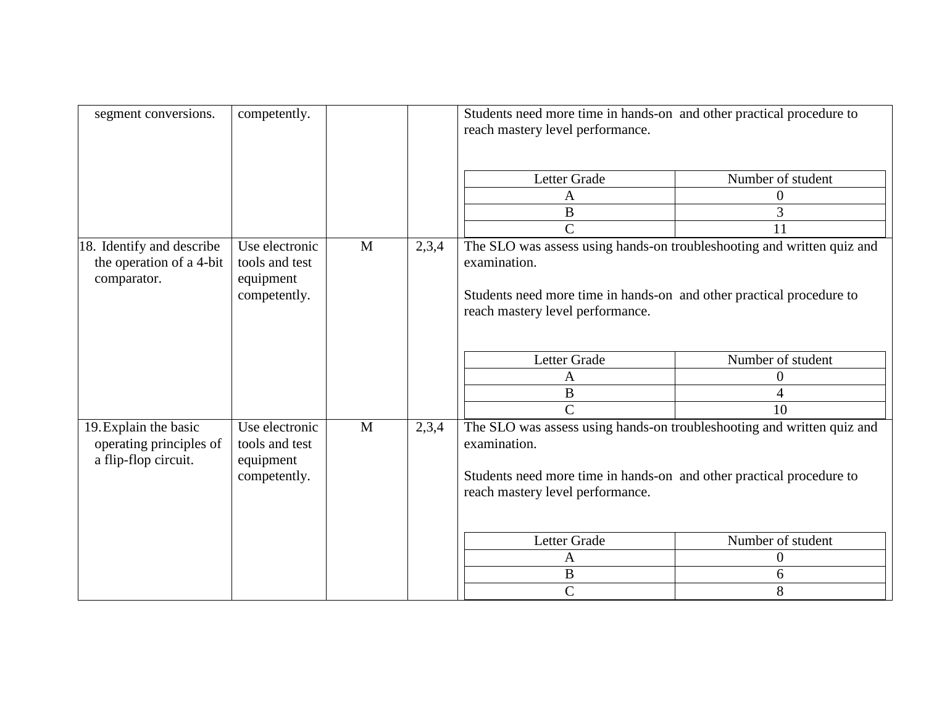| segment conversions.                                                     | competently.                                                  |              |       | Students need more time in hands-on and other practical procedure to<br>reach mastery level performance.                                                                                           |                   |
|--------------------------------------------------------------------------|---------------------------------------------------------------|--------------|-------|----------------------------------------------------------------------------------------------------------------------------------------------------------------------------------------------------|-------------------|
|                                                                          |                                                               |              |       | Letter Grade                                                                                                                                                                                       | Number of student |
|                                                                          |                                                               |              |       | A                                                                                                                                                                                                  | $\boldsymbol{0}$  |
|                                                                          |                                                               |              |       | $\, {\bf B}$                                                                                                                                                                                       | 3                 |
|                                                                          |                                                               |              |       | $\overline{C}$                                                                                                                                                                                     | 11                |
| 18. Identify and describe<br>the operation of a 4-bit<br>comparator.     | Use electronic<br>tools and test<br>equipment<br>competently. | M            | 2,3,4 | The SLO was assess using hands-on troubleshooting and written quiz and<br>examination.<br>Students need more time in hands-on and other practical procedure to<br>reach mastery level performance. |                   |
|                                                                          |                                                               |              |       | Letter Grade                                                                                                                                                                                       | Number of student |
|                                                                          |                                                               |              |       | A                                                                                                                                                                                                  | $\overline{0}$    |
|                                                                          |                                                               |              |       | $\, {\bf B}$                                                                                                                                                                                       | $\overline{4}$    |
|                                                                          |                                                               |              |       | $\mathsf{C}$                                                                                                                                                                                       | 10                |
| 19. Explain the basic<br>operating principles of<br>a flip-flop circuit. | Use electronic<br>tools and test<br>equipment<br>competently. | $\mathbf{M}$ | 2,3,4 | The SLO was assess using hands-on troubleshooting and written quiz and<br>examination.<br>Students need more time in hands-on and other practical procedure to<br>reach mastery level performance. |                   |
|                                                                          |                                                               |              |       | Letter Grade                                                                                                                                                                                       | Number of student |
|                                                                          |                                                               |              |       | A                                                                                                                                                                                                  | $\theta$          |
|                                                                          |                                                               |              |       | B                                                                                                                                                                                                  | 6                 |
|                                                                          |                                                               |              |       | $\overline{C}$                                                                                                                                                                                     | 8                 |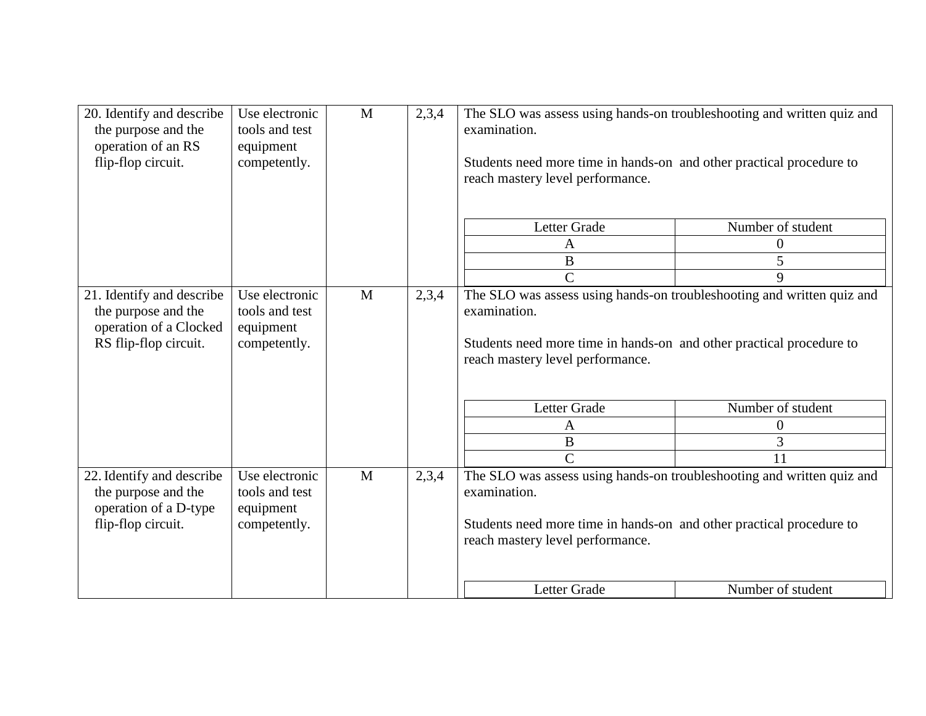| 20. Identify and describe<br>the purpose and the<br>operation of an RS<br>flip-flop circuit.        | Use electronic<br>tools and test<br>equipment<br>competently. | M | 2,3,4 | The SLO was assess using hands-on troubleshooting and written quiz and<br>examination.<br>Students need more time in hands-on and other practical procedure to<br>reach mastery level performance. |                   |
|-----------------------------------------------------------------------------------------------------|---------------------------------------------------------------|---|-------|----------------------------------------------------------------------------------------------------------------------------------------------------------------------------------------------------|-------------------|
|                                                                                                     |                                                               |   |       | Letter Grade                                                                                                                                                                                       | Number of student |
|                                                                                                     |                                                               |   |       | A                                                                                                                                                                                                  | 0                 |
|                                                                                                     |                                                               |   |       | $\bf{B}$                                                                                                                                                                                           | 5                 |
|                                                                                                     |                                                               |   |       | $\overline{C}$                                                                                                                                                                                     | 9                 |
| 21. Identify and describe<br>the purpose and the<br>operation of a Clocked<br>RS flip-flop circuit. | Use electronic<br>tools and test<br>equipment<br>competently. | M | 2,3,4 | The SLO was assess using hands-on troubleshooting and written quiz and<br>examination.<br>Students need more time in hands-on and other practical procedure to<br>reach mastery level performance. |                   |
|                                                                                                     |                                                               |   |       | Letter Grade                                                                                                                                                                                       | Number of student |
|                                                                                                     |                                                               |   |       | A                                                                                                                                                                                                  | 0                 |
|                                                                                                     |                                                               |   |       | $\bf{B}$                                                                                                                                                                                           | 3                 |
|                                                                                                     |                                                               |   |       | $\overline{C}$                                                                                                                                                                                     | 11                |
| 22. Identify and describe<br>the purpose and the<br>operation of a D-type<br>flip-flop circuit.     | Use electronic<br>tools and test<br>equipment<br>competently. | M | 2,3,4 | The SLO was assess using hands-on troubleshooting and written quiz and<br>examination.<br>Students need more time in hands-on and other practical procedure to<br>reach mastery level performance. |                   |
|                                                                                                     |                                                               |   |       | Letter Grade                                                                                                                                                                                       | Number of student |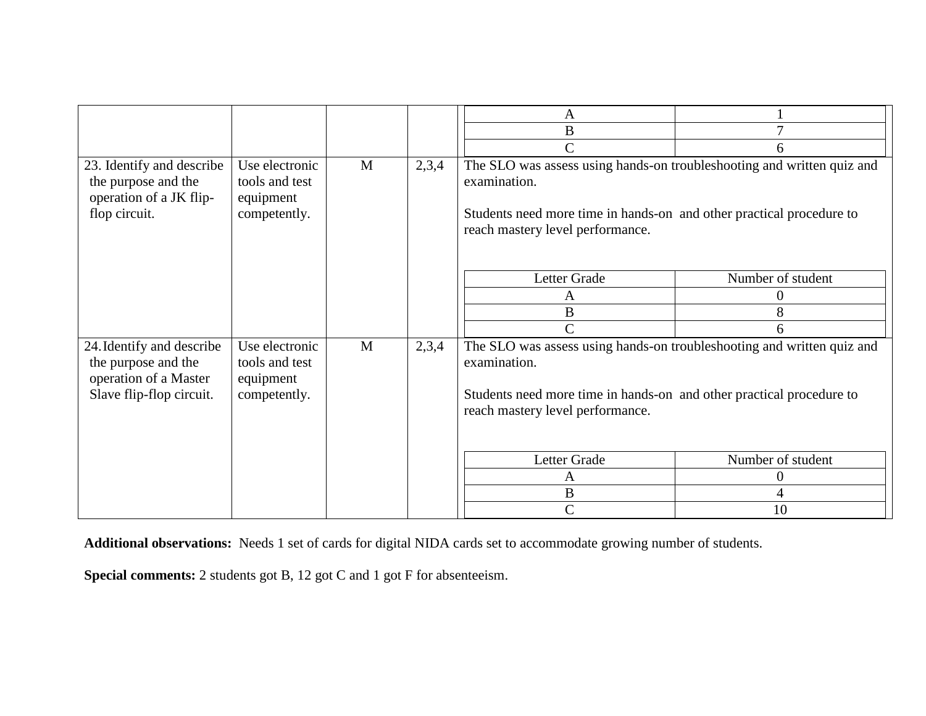|                                                                                                       |                                                               |   |       | A<br>B                                                                                                                                                                                             | $\tau$            |
|-------------------------------------------------------------------------------------------------------|---------------------------------------------------------------|---|-------|----------------------------------------------------------------------------------------------------------------------------------------------------------------------------------------------------|-------------------|
|                                                                                                       |                                                               |   |       |                                                                                                                                                                                                    |                   |
|                                                                                                       |                                                               |   |       | $\overline{C}$                                                                                                                                                                                     | 6                 |
| 23. Identify and describe<br>the purpose and the<br>operation of a JK flip-<br>flop circuit.          | Use electronic<br>tools and test<br>equipment<br>competently. | M | 2,3,4 | The SLO was assess using hands-on troubleshooting and written quiz and<br>examination.<br>Students need more time in hands-on and other practical procedure to<br>reach mastery level performance. |                   |
|                                                                                                       |                                                               |   |       | Letter Grade                                                                                                                                                                                       | Number of student |
|                                                                                                       |                                                               |   |       | A                                                                                                                                                                                                  | $\overline{0}$    |
|                                                                                                       |                                                               |   |       | B                                                                                                                                                                                                  | 8                 |
|                                                                                                       |                                                               |   |       | $\mathcal{C}$                                                                                                                                                                                      | 6                 |
| 24. Identify and describe<br>the purpose and the<br>operation of a Master<br>Slave flip-flop circuit. | Use electronic<br>tools and test<br>equipment<br>competently. | M | 2,3,4 | The SLO was assess using hands-on troubleshooting and written quiz and<br>examination.<br>Students need more time in hands-on and other practical procedure to<br>reach mastery level performance. |                   |
|                                                                                                       |                                                               |   |       | Letter Grade                                                                                                                                                                                       | Number of student |
|                                                                                                       |                                                               |   |       | A                                                                                                                                                                                                  | 0                 |
|                                                                                                       |                                                               |   |       | $\bf{B}$                                                                                                                                                                                           | $\overline{4}$    |
|                                                                                                       |                                                               |   |       | C                                                                                                                                                                                                  | 10                |

**Additional observations:** Needs 1 set of cards for digital NIDA cards set to accommodate growing number of students.

**Special comments:** 2 students got B, 12 got C and 1 got F for absenteeism.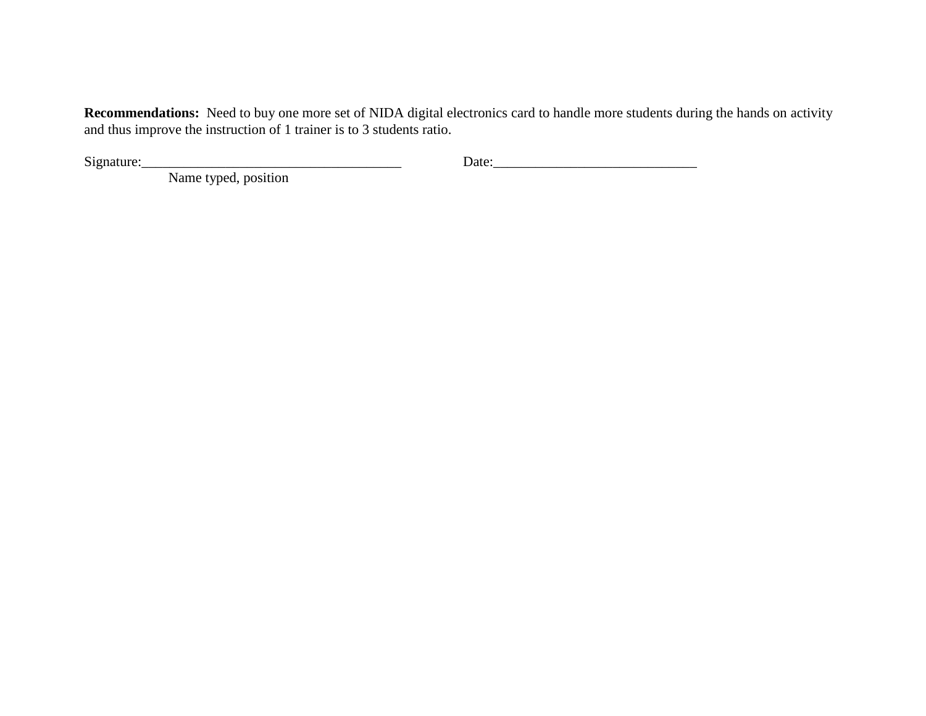**Recommendations:** Need to buy one more set of NIDA digital electronics card to handle more students during the hands on activity and thus improve the instruction of 1 trainer is to 3 students ratio.

 $Signature:$  Date: 200  $Date:$  200  $Date:$  200  $Date:$  200  $Date:$  200  $Date:$  200  $Date:$  200  $Date:$  200  $Date:$  200  $Date:$  200  $Date:$  200  $Date:$  200  $Date:$  200  $Date:$  200  $Date:$  200  $Date:$  200  $Date:$  200  $Date:$  200  $Date:$  200  $Date:$  200  $Date:$  200  $Date:$  200  $Date:$  200  $Date:$  20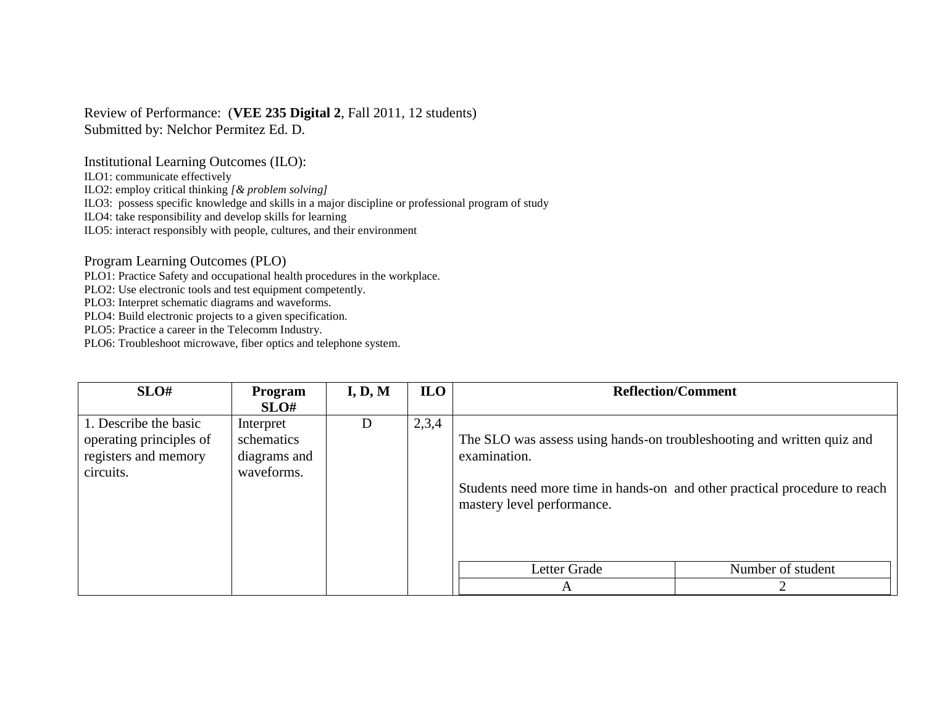## Review of Performance: (**VEE 235 Digital 2**, Fall 2011, 12 students) Submitted by: Nelchor Permitez Ed. D.

Institutional Learning Outcomes (ILO):

ILO1: communicate effectively

ILO2: employ critical thinking *[& problem solving]*

ILO3: possess specific knowledge and skills in a major discipline or professional program of study

ILO4: take responsibility and develop skills for learning

ILO5: interact responsibly with people, cultures, and their environment

Program Learning Outcomes (PLO)

PLO1: Practice Safety and occupational health procedures in the workplace.

PLO2: Use electronic tools and test equipment competently.

PLO3: Interpret schematic diagrams and waveforms.

PLO4: Build electronic projects to a given specification.

PLO5: Practice a career in the Telecomm Industry.

| SLO#                                                                                  | <b>Program</b><br>SLO#                                | I, D, M | <b>ILO</b> |                                                                                                                      | <b>Reflection/Comment</b>                                                  |
|---------------------------------------------------------------------------------------|-------------------------------------------------------|---------|------------|----------------------------------------------------------------------------------------------------------------------|----------------------------------------------------------------------------|
| 1. Describe the basic<br>operating principles of<br>registers and memory<br>circuits. | Interpret<br>schematics<br>diagrams and<br>waveforms. | D       | 2,3,4      | The SLO was assess using hands-on troubleshooting and written quiz and<br>examination.<br>mastery level performance. | Students need more time in hands-on and other practical procedure to reach |
|                                                                                       |                                                       |         |            | Letter Grade<br>A                                                                                                    | Number of student                                                          |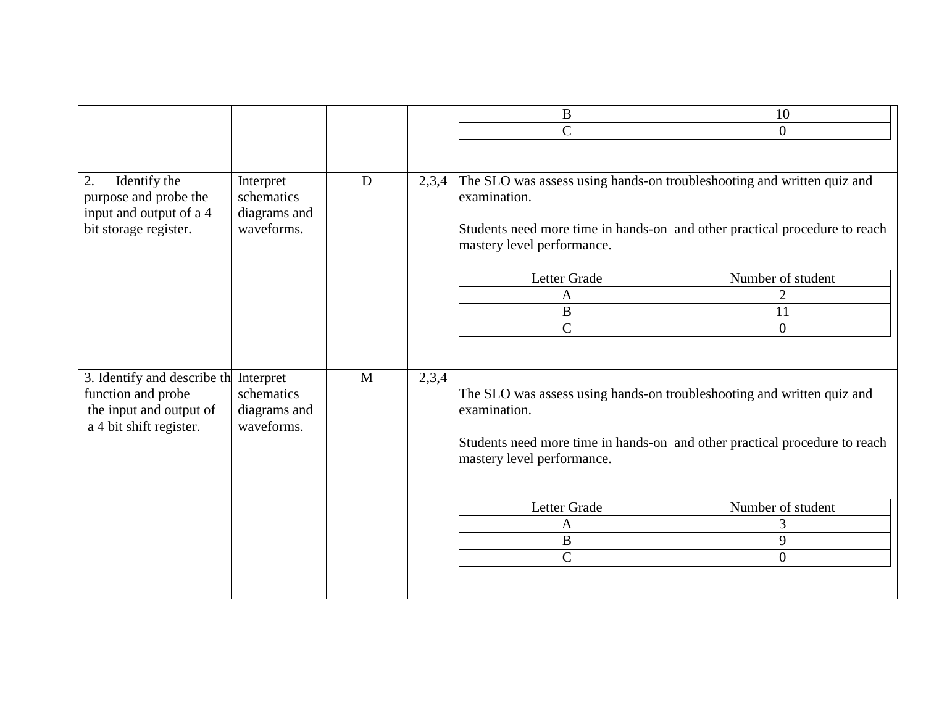|                                                                                                         |                                                       |   |       | $\bf{B}$                                                                                                                                                                                                                                    | 10                                            |
|---------------------------------------------------------------------------------------------------------|-------------------------------------------------------|---|-------|---------------------------------------------------------------------------------------------------------------------------------------------------------------------------------------------------------------------------------------------|-----------------------------------------------|
|                                                                                                         |                                                       |   |       | $\mathcal{C}$                                                                                                                                                                                                                               | $\overline{0}$                                |
|                                                                                                         |                                                       |   |       |                                                                                                                                                                                                                                             |                                               |
| 2.<br>Identify the<br>purpose and probe the<br>input and output of a 4<br>bit storage register.         | Interpret<br>schematics<br>diagrams and<br>waveforms. | D | 2,3,4 | The SLO was assess using hands-on troubleshooting and written quiz and<br>examination.<br>Students need more time in hands-on and other practical procedure to reach<br>mastery level performance.<br>Letter Grade<br>A<br>$\boldsymbol{B}$ | Number of student<br>2<br>11                  |
|                                                                                                         |                                                       |   |       | $\mathsf{C}$                                                                                                                                                                                                                                | $\overline{0}$                                |
| 3. Identify and describe th<br>function and probe<br>the input and output of<br>a 4 bit shift register. | Interpret<br>schematics<br>diagrams and<br>waveforms. | M | 2,3,4 | The SLO was assess using hands-on troubleshooting and written quiz and<br>examination.<br>Students need more time in hands-on and other practical procedure to reach<br>mastery level performance.                                          |                                               |
|                                                                                                         |                                                       |   |       | Letter Grade<br>$\mathbf{A}$<br>B<br>$\overline{C}$                                                                                                                                                                                         | Number of student<br>3<br>9<br>$\overline{0}$ |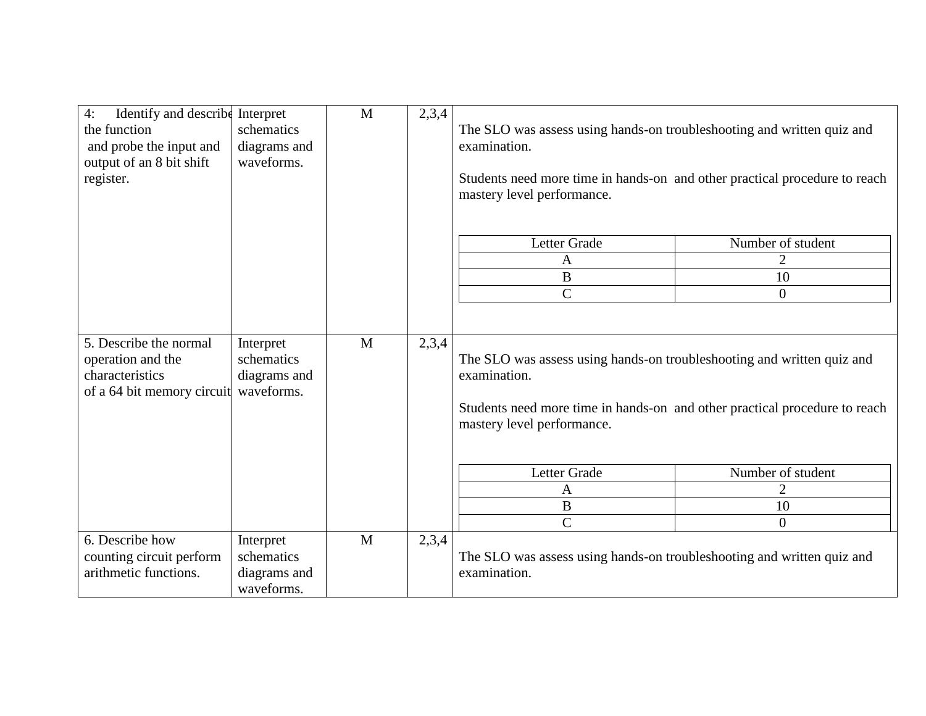| Identify and describe<br>4:<br>the function<br>and probe the input and<br>output of an 8 bit shift<br>register. | Interpret<br>schematics<br>diagrams and<br>waveforms. | $\mathbf{M}$ | 2,3,4 | The SLO was assess using hands-on troubleshooting and written quiz and<br>examination.<br>Students need more time in hands-on and other practical procedure to reach<br>mastery level performance. |                   |
|-----------------------------------------------------------------------------------------------------------------|-------------------------------------------------------|--------------|-------|----------------------------------------------------------------------------------------------------------------------------------------------------------------------------------------------------|-------------------|
|                                                                                                                 |                                                       |              |       | Letter Grade                                                                                                                                                                                       | Number of student |
|                                                                                                                 |                                                       |              |       | A                                                                                                                                                                                                  | $\overline{2}$    |
|                                                                                                                 |                                                       |              |       | $\, {\bf B}$                                                                                                                                                                                       | 10                |
|                                                                                                                 |                                                       |              |       | $\overline{C}$                                                                                                                                                                                     | $\overline{0}$    |
| 5. Describe the normal<br>operation and the<br>characteristics<br>of a 64 bit memory circuit                    | Interpret<br>schematics<br>diagrams and<br>waveforms. | M            | 2,3,4 | The SLO was assess using hands-on troubleshooting and written quiz and<br>examination.<br>Students need more time in hands-on and other practical procedure to reach<br>mastery level performance. |                   |
|                                                                                                                 |                                                       |              |       | Letter Grade                                                                                                                                                                                       | Number of student |
|                                                                                                                 |                                                       |              |       | A                                                                                                                                                                                                  | $\overline{2}$    |
|                                                                                                                 |                                                       |              |       | $\boldsymbol{B}$                                                                                                                                                                                   | 10                |
|                                                                                                                 |                                                       |              |       | $\overline{C}$                                                                                                                                                                                     | $\overline{0}$    |
| 6. Describe how<br>counting circuit perform<br>arithmetic functions.                                            | Interpret<br>schematics<br>diagrams and<br>waveforms. | M            | 2,3,4 | The SLO was assess using hands-on troubleshooting and written quiz and<br>examination.                                                                                                             |                   |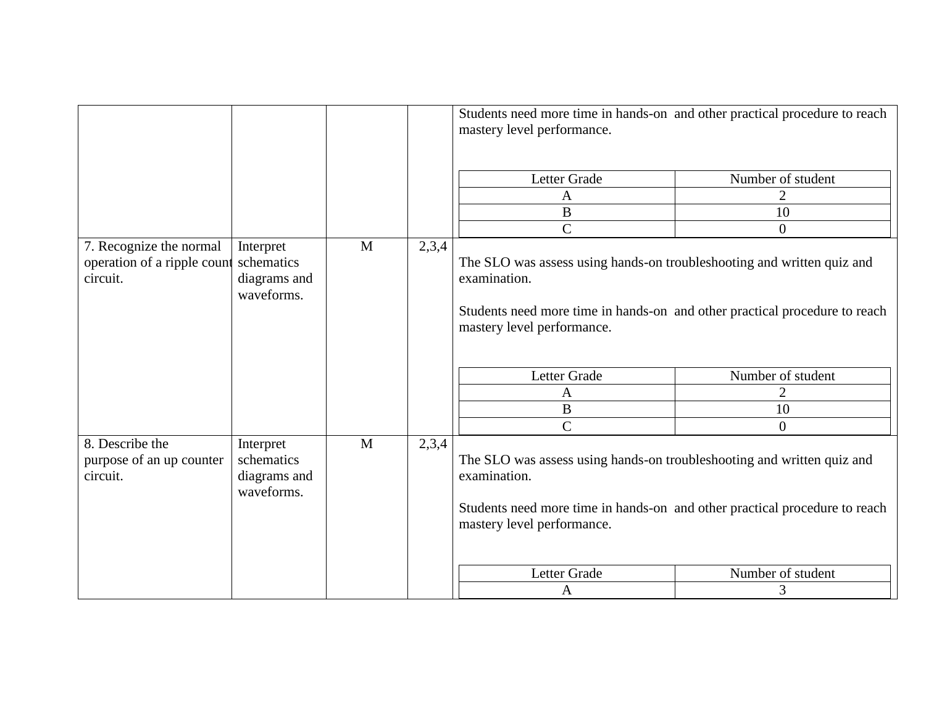|                                                                                                                             |                                                       |              |       | Students need more time in hands-on and other practical procedure to reach<br>mastery level performance.                                                                                           |                   |
|-----------------------------------------------------------------------------------------------------------------------------|-------------------------------------------------------|--------------|-------|----------------------------------------------------------------------------------------------------------------------------------------------------------------------------------------------------|-------------------|
|                                                                                                                             |                                                       |              |       | Letter Grade                                                                                                                                                                                       | Number of student |
|                                                                                                                             |                                                       |              |       | A                                                                                                                                                                                                  | $\overline{2}$    |
|                                                                                                                             |                                                       |              |       | $\mathbf{B}$                                                                                                                                                                                       | 10                |
|                                                                                                                             |                                                       |              |       | $\overline{C}$                                                                                                                                                                                     | $\overline{0}$    |
| 7. Recognize the normal<br>Interpret<br>operation of a ripple count<br>schematics<br>circuit.<br>diagrams and<br>waveforms. |                                                       | $\mathbf{M}$ | 2,3,4 | The SLO was assess using hands-on troubleshooting and written quiz and<br>examination.<br>Students need more time in hands-on and other practical procedure to reach<br>mastery level performance. |                   |
|                                                                                                                             |                                                       |              |       | Letter Grade                                                                                                                                                                                       | Number of student |
|                                                                                                                             |                                                       |              |       | $\mathbf{A}$                                                                                                                                                                                       | $\overline{2}$    |
|                                                                                                                             |                                                       |              |       | $\bf{B}$                                                                                                                                                                                           | 10                |
|                                                                                                                             |                                                       |              |       | $\overline{C}$                                                                                                                                                                                     | $\overline{0}$    |
| 8. Describe the<br>purpose of an up counter<br>circuit.                                                                     | Interpret<br>schematics<br>diagrams and<br>waveforms. | M            | 2,3,4 | The SLO was assess using hands-on troubleshooting and written quiz and<br>examination.<br>Students need more time in hands-on and other practical procedure to reach<br>mastery level performance. |                   |
|                                                                                                                             |                                                       |              |       | Letter Grade                                                                                                                                                                                       | Number of student |
|                                                                                                                             |                                                       |              |       | $\mathbf{A}$                                                                                                                                                                                       | 3                 |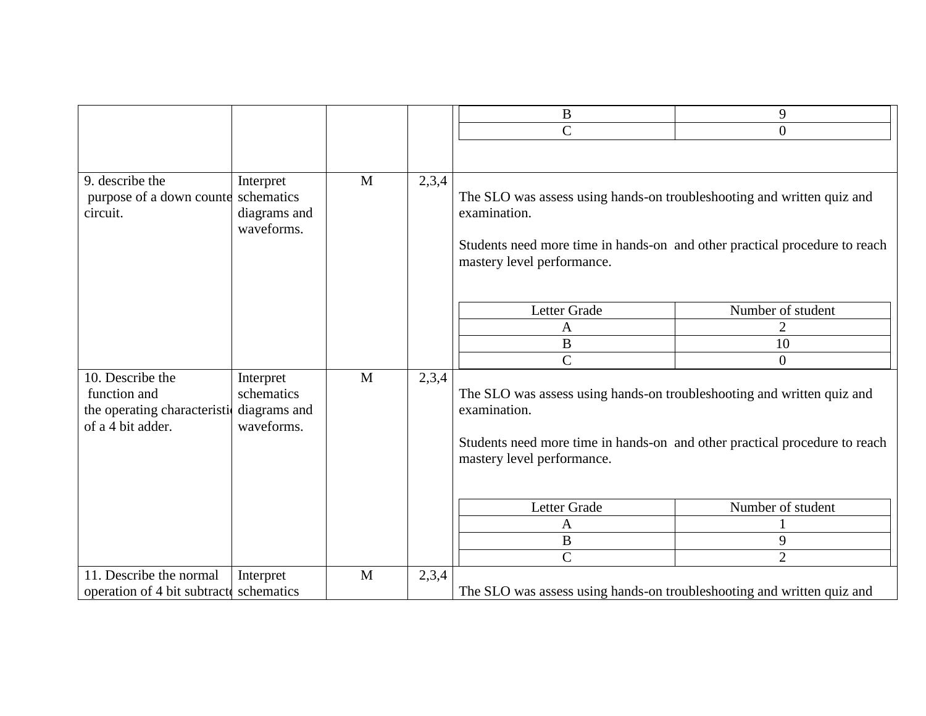|                                                                                       |                                                       |              |       | $\bf{B}$                                                                                                                                                                                           | 9                                        |
|---------------------------------------------------------------------------------------|-------------------------------------------------------|--------------|-------|----------------------------------------------------------------------------------------------------------------------------------------------------------------------------------------------------|------------------------------------------|
|                                                                                       |                                                       |              |       | $\overline{C}$                                                                                                                                                                                     | $\overline{0}$                           |
|                                                                                       |                                                       |              |       |                                                                                                                                                                                                    |                                          |
|                                                                                       |                                                       |              |       |                                                                                                                                                                                                    |                                          |
| 9. describe the<br>purpose of a down counter<br>circuit.                              | Interpret<br>schematics<br>diagrams and<br>waveforms. | $\mathbf{M}$ | 2,3,4 | The SLO was assess using hands-on troubleshooting and written quiz and<br>examination.<br>Students need more time in hands-on and other practical procedure to reach<br>mastery level performance. |                                          |
|                                                                                       |                                                       |              |       | Letter Grade                                                                                                                                                                                       | Number of student                        |
|                                                                                       |                                                       |              |       | $\mathbf{A}$                                                                                                                                                                                       | $\overline{2}$                           |
|                                                                                       |                                                       |              |       | $\, {\bf B}$                                                                                                                                                                                       | 10                                       |
|                                                                                       |                                                       |              |       | $\overline{C}$                                                                                                                                                                                     | $\overline{0}$                           |
| 10. Describe the<br>function and<br>the operating characteristic<br>of a 4 bit adder. | Interpret<br>schematics<br>diagrams and<br>waveforms. | M            | 2,3,4 | The SLO was assess using hands-on troubleshooting and written quiz and<br>examination.<br>Students need more time in hands-on and other practical procedure to reach<br>mastery level performance. |                                          |
|                                                                                       |                                                       |              |       | Letter Grade<br>A<br>$\, {\bf B}$<br>$\overline{C}$                                                                                                                                                | Number of student<br>9<br>$\overline{2}$ |
| 11. Describe the normal                                                               | Interpret                                             | M            | 2,3,4 |                                                                                                                                                                                                    |                                          |
| operation of 4 bit subtractes schematics                                              |                                                       |              |       | The SLO was assess using hands-on troubleshooting and written quiz and                                                                                                                             |                                          |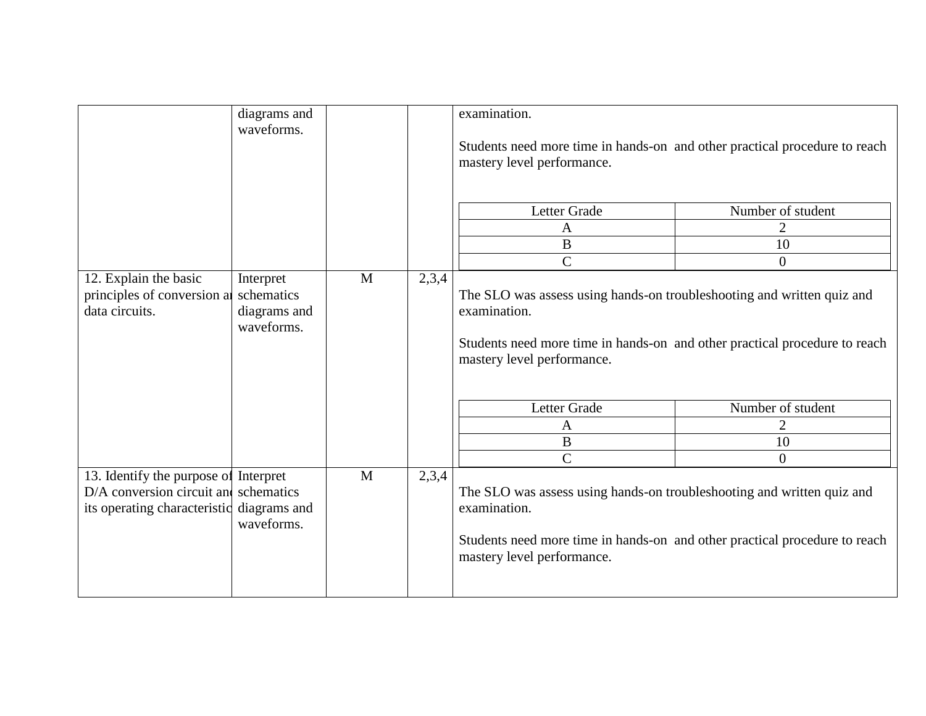|                                                                                                                  | diagrams and<br>waveforms.                            |              |       | examination.<br>Students need more time in hands-on and other practical procedure to reach<br>mastery level performance.                                                                           |                                                             |
|------------------------------------------------------------------------------------------------------------------|-------------------------------------------------------|--------------|-------|----------------------------------------------------------------------------------------------------------------------------------------------------------------------------------------------------|-------------------------------------------------------------|
|                                                                                                                  |                                                       |              |       | Letter Grade<br>A<br>$\, {\bf B}$<br>$\mathsf{C}$                                                                                                                                                  | Number of student<br>$\overline{2}$<br>10<br>$\overline{0}$ |
| 12. Explain the basic<br>principles of conversion a<br>data circuits.                                            | Interpret<br>schematics<br>diagrams and<br>waveforms. | M            | 2,3,4 | The SLO was assess using hands-on troubleshooting and written quiz and<br>examination.<br>Students need more time in hands-on and other practical procedure to reach<br>mastery level performance. |                                                             |
|                                                                                                                  |                                                       |              |       | Letter Grade<br>$\mathbf{A}$<br>B<br>$\mathbf C$                                                                                                                                                   | Number of student<br>$\overline{2}$<br>10<br>$\overline{0}$ |
| 13. Identify the purpose of Interpret<br>$D/A$ conversion circuit and schematics<br>its operating characteristic | diagrams and<br>waveforms.                            | $\mathbf{M}$ | 2,3,4 | The SLO was assess using hands-on troubleshooting and written quiz and<br>examination.<br>Students need more time in hands-on and other practical procedure to reach<br>mastery level performance. |                                                             |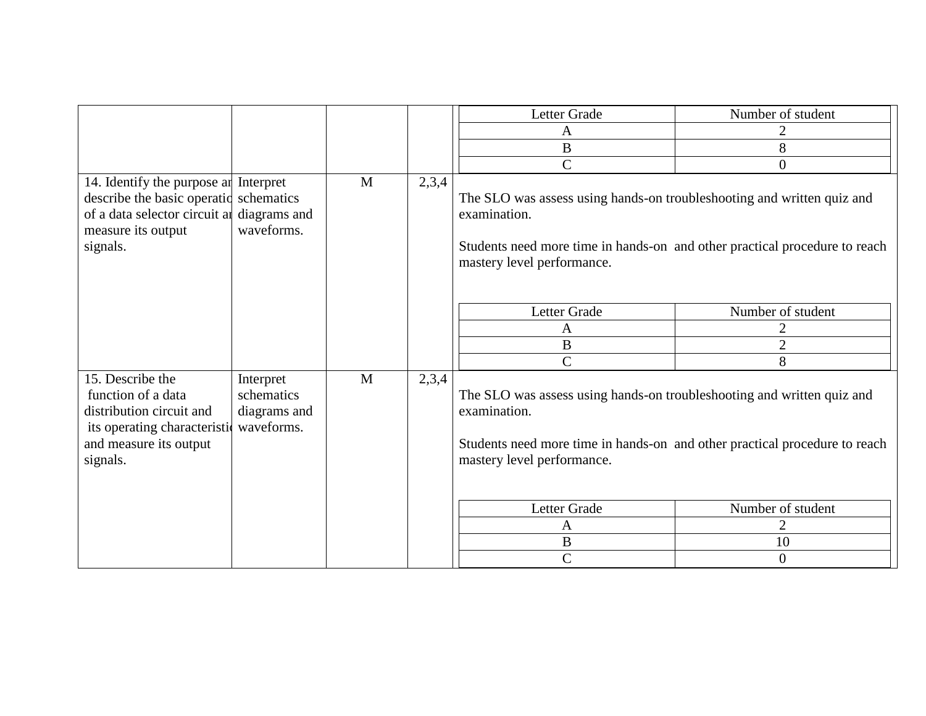|                                                                                                                                                     |                                                       |   |       | Letter Grade                                                                                                                                                                                       | Number of student |
|-----------------------------------------------------------------------------------------------------------------------------------------------------|-------------------------------------------------------|---|-------|----------------------------------------------------------------------------------------------------------------------------------------------------------------------------------------------------|-------------------|
|                                                                                                                                                     |                                                       |   |       | A                                                                                                                                                                                                  | 2                 |
|                                                                                                                                                     |                                                       |   |       | $\, {\bf B}$                                                                                                                                                                                       | 8                 |
|                                                                                                                                                     |                                                       |   |       | $\overline{C}$                                                                                                                                                                                     | $\boldsymbol{0}$  |
| 14. Identify the purpose and Interpret<br>describe the basic operatid schematics<br>of a data selector circuit al<br>measure its output<br>signals. | diagrams and<br>waveforms.                            | M | 2,3,4 | The SLO was assess using hands-on troubleshooting and written quiz and<br>examination.<br>Students need more time in hands-on and other practical procedure to reach<br>mastery level performance. |                   |
|                                                                                                                                                     |                                                       |   |       | Letter Grade                                                                                                                                                                                       | Number of student |
|                                                                                                                                                     |                                                       |   |       | A                                                                                                                                                                                                  | 2                 |
|                                                                                                                                                     |                                                       |   |       | $\, {\bf B}$                                                                                                                                                                                       | $\overline{2}$    |
|                                                                                                                                                     |                                                       |   |       | $\overline{C}$                                                                                                                                                                                     | 8                 |
| 15. Describe the<br>function of a data<br>distribution circuit and<br>its operating characteristic<br>and measure its output<br>signals.            | Interpret<br>schematics<br>diagrams and<br>waveforms. | M | 2,3,4 | The SLO was assess using hands-on troubleshooting and written quiz and<br>examination.<br>Students need more time in hands-on and other practical procedure to reach<br>mastery level performance. |                   |
|                                                                                                                                                     |                                                       |   |       | Letter Grade                                                                                                                                                                                       | Number of student |
|                                                                                                                                                     |                                                       |   |       | $\mathbf{A}$                                                                                                                                                                                       | $\overline{2}$    |
|                                                                                                                                                     |                                                       |   |       | $\, {\bf B}$                                                                                                                                                                                       | 10                |
|                                                                                                                                                     |                                                       |   |       | $\mathbf C$                                                                                                                                                                                        | $\overline{0}$    |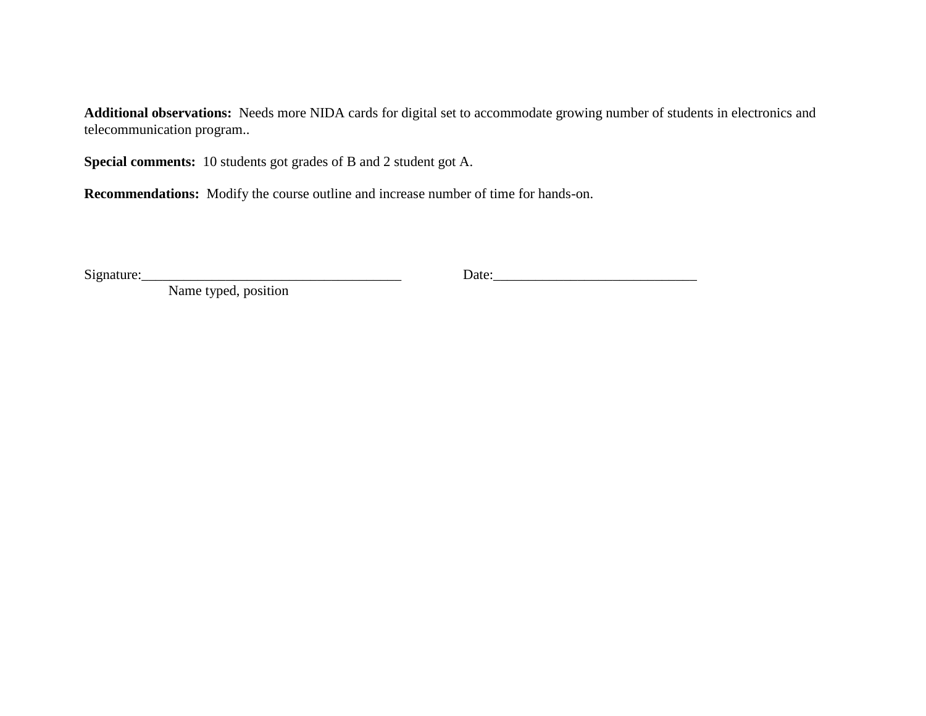**Additional observations:** Needs more NIDA cards for digital set to accommodate growing number of students in electronics and telecommunication program..

**Special comments:** 10 students got grades of B and 2 student got A.

**Recommendations:** Modify the course outline and increase number of time for hands-on.

 $Signature:$  Date: 200  $Date:$  200  $Date:$  200  $Date:$  200  $Date:$  200  $Date:$  200  $Date:$  200  $Date:$  200  $Date:$  200  $Date:$  200  $Date:$  200  $Date:$  200  $Date:$  200  $Date:$  200  $Date:$  200  $Date:$  200  $Date:$  200  $Date:$  200  $Date:$  200  $Date:$  200  $Date:$  200  $Date:$  200  $Date:$  200  $Date:$  20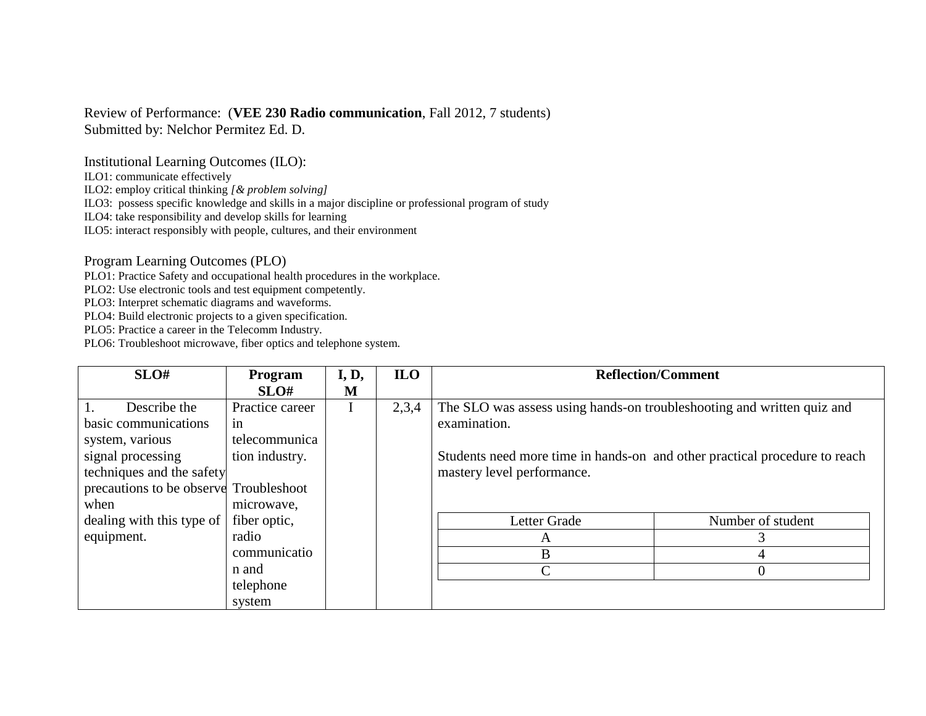# Review of Performance: (**VEE 230 Radio communication**, Fall 2012, 7 students)

Submitted by: Nelchor Permitez Ed. D.

Institutional Learning Outcomes (ILO):

ILO1: communicate effectively

ILO2: employ critical thinking *[& problem solving]*

ILO3: possess specific knowledge and skills in a major discipline or professional program of study

ILO4: take responsibility and develop skills for learning

ILO5: interact responsibly with people, cultures, and their environment

Program Learning Outcomes (PLO)

PLO1: Practice Safety and occupational health procedures in the workplace.

PLO2: Use electronic tools and test equipment competently.

PLO3: Interpret schematic diagrams and waveforms.

PLO4: Build electronic projects to a given specification.

PLO5: Practice a career in the Telecomm Industry.

| SLO#                                    | <b>Program</b>  | I, D, | <b>ILO</b> | <b>Reflection/Comment</b>                                                  |                   |
|-----------------------------------------|-----------------|-------|------------|----------------------------------------------------------------------------|-------------------|
|                                         | SLO#            | M     |            |                                                                            |                   |
| Describe the                            | Practice career |       | 2,3,4      | The SLO was assess using hands-on troubleshooting and written quiz and     |                   |
| basic communications                    | in              |       |            | examination.                                                               |                   |
| system, various                         | telecommunica   |       |            |                                                                            |                   |
| signal processing                       | tion industry.  |       |            | Students need more time in hands-on and other practical procedure to reach |                   |
| techniques and the safety               |                 |       |            | mastery level performance.                                                 |                   |
| precautions to be observed Troubleshoot |                 |       |            |                                                                            |                   |
| when                                    | microwave,      |       |            |                                                                            |                   |
| dealing with this type of               | fiber optic,    |       |            | Letter Grade                                                               | Number of student |
| equipment.                              | radio           |       |            | A                                                                          |                   |
|                                         | communicatio    |       |            | B                                                                          |                   |
|                                         | n and           |       |            |                                                                            |                   |
|                                         | telephone       |       |            |                                                                            |                   |
|                                         | system          |       |            |                                                                            |                   |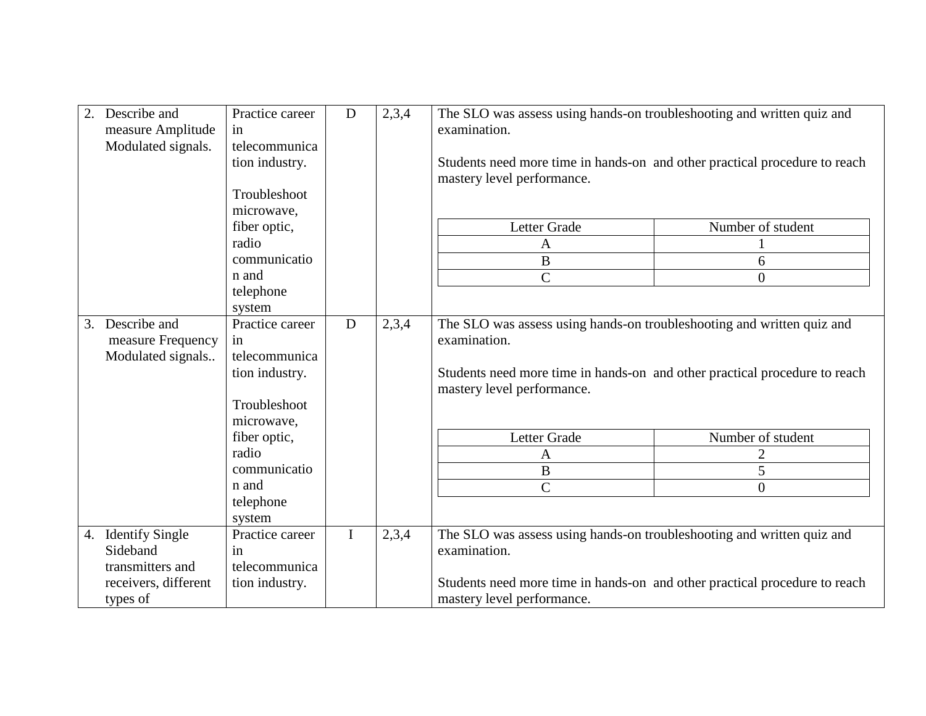| Describe and<br>measure Amplitude<br>Modulated signals.                                | Practice career<br>in<br>telecommunica<br>tion industry.<br>Troubleshoot                                                         | D           | 2,3,4 | The SLO was assess using hands-on troubleshooting and written quiz and<br>examination.<br>Students need more time in hands-on and other practical procedure to reach<br>mastery level performance.                      |                                          |
|----------------------------------------------------------------------------------------|----------------------------------------------------------------------------------------------------------------------------------|-------------|-------|-------------------------------------------------------------------------------------------------------------------------------------------------------------------------------------------------------------------------|------------------------------------------|
|                                                                                        | microwave,<br>fiber optic,<br>radio<br>communicatio<br>n and<br>telephone<br>system                                              |             |       | Letter Grade<br>A<br>B<br>$\overline{C}$                                                                                                                                                                                | Number of student<br>6<br>$\overline{0}$ |
| 3. Describe and<br>measure Frequency<br>Modulated signals                              | Practice career<br>in.<br>telecommunica<br>tion industry.<br>Troubleshoot<br>microwave,<br>fiber optic,<br>radio<br>communicatio | D           | 2,3,4 | The SLO was assess using hands-on troubleshooting and written quiz and<br>examination.<br>Students need more time in hands-on and other practical procedure to reach<br>mastery level performance.<br>Letter Grade<br>A | Number of student<br>2                   |
|                                                                                        | n and<br>telephone<br>system                                                                                                     |             |       | B<br>$\overline{C}$                                                                                                                                                                                                     | 5<br>$\overline{0}$                      |
| 4. Identify Single<br>Sideband<br>transmitters and<br>receivers, different<br>types of | Practice career<br>in<br>telecommunica<br>tion industry.                                                                         | $\mathbf I$ | 2,3,4 | The SLO was assess using hands-on troubleshooting and written quiz and<br>examination.<br>Students need more time in hands-on and other practical procedure to reach<br>mastery level performance.                      |                                          |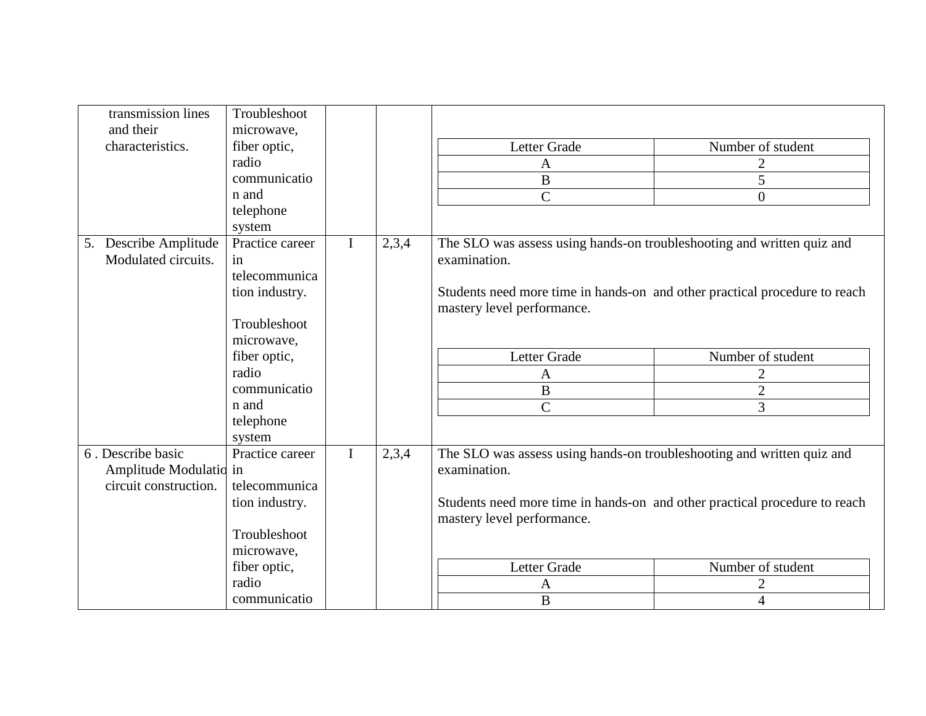| transmission lines<br>and their | Troubleshoot<br>microwave, |             |       |                                                                            |                   |
|---------------------------------|----------------------------|-------------|-------|----------------------------------------------------------------------------|-------------------|
| characteristics.                | fiber optic,               |             |       | Letter Grade                                                               | Number of student |
|                                 | radio                      |             |       | A                                                                          |                   |
|                                 | communicatio               |             |       | $\bf{B}$                                                                   | 5                 |
|                                 | n and                      |             |       | $\overline{C}$                                                             | $\overline{0}$    |
|                                 | telephone                  |             |       |                                                                            |                   |
|                                 | system                     |             |       |                                                                            |                   |
| 5. Describe Amplitude           | Practice career            | $\mathbf I$ | 2,3,4 | The SLO was assess using hands-on troubleshooting and written quiz and     |                   |
| Modulated circuits.             | in                         |             |       | examination.                                                               |                   |
|                                 | telecommunica              |             |       |                                                                            |                   |
|                                 | tion industry.             |             |       | Students need more time in hands-on and other practical procedure to reach |                   |
|                                 |                            |             |       | mastery level performance.                                                 |                   |
|                                 | Troubleshoot               |             |       |                                                                            |                   |
|                                 | microwave,                 |             |       |                                                                            |                   |
|                                 | fiber optic,               |             |       | Letter Grade                                                               | Number of student |
|                                 | radio                      |             |       | A                                                                          | $\overline{2}$    |
|                                 | communicatio               |             |       | $\bf{B}$                                                                   | $\overline{2}$    |
|                                 | n and                      |             |       | $\overline{C}$                                                             | 3                 |
|                                 | telephone                  |             |       |                                                                            |                   |
|                                 | system                     |             |       |                                                                            |                   |
| 6. Describe basic               | Practice career            | $\mathbf I$ | 2,3,4 | The SLO was assess using hands-on troubleshooting and written quiz and     |                   |
| Amplitude Modulatio in          |                            |             |       | examination.                                                               |                   |
| circuit construction.           | telecommunica              |             |       |                                                                            |                   |
|                                 | tion industry.             |             |       | Students need more time in hands-on and other practical procedure to reach |                   |
|                                 | Troubleshoot               |             |       | mastery level performance.                                                 |                   |
|                                 |                            |             |       |                                                                            |                   |
|                                 | microwave,                 |             |       |                                                                            |                   |
|                                 | fiber optic,<br>radio      |             |       | Letter Grade                                                               | Number of student |
|                                 | communicatio               |             |       | A                                                                          | 2                 |
|                                 |                            |             |       | $\bf{B}$                                                                   | $\overline{4}$    |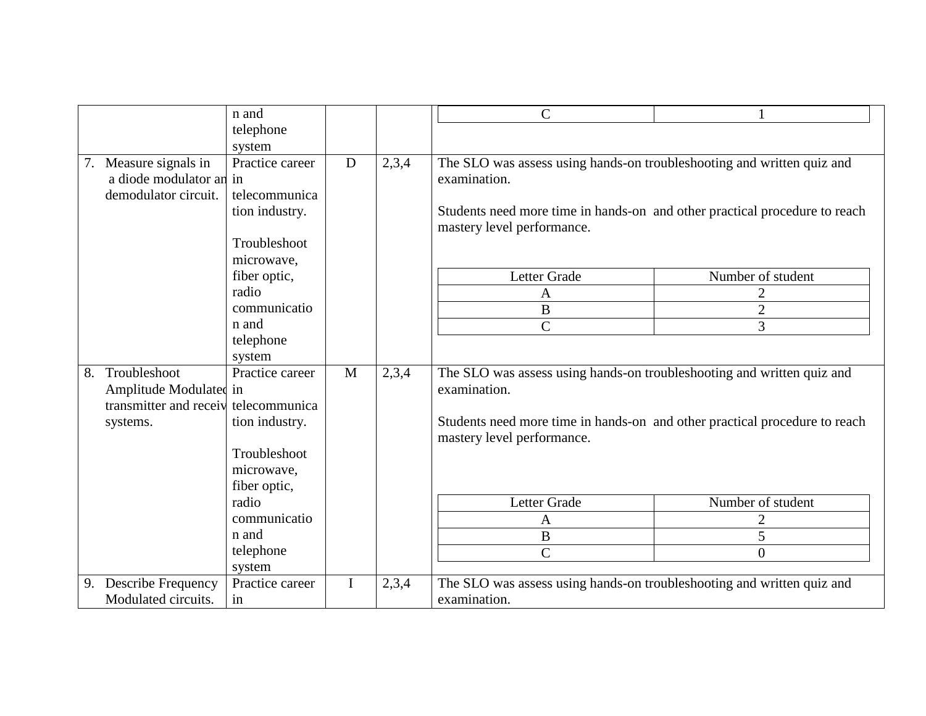|    |                                       | n and           |              |       | $\mathcal{C}$                                                                                            |                   |
|----|---------------------------------------|-----------------|--------------|-------|----------------------------------------------------------------------------------------------------------|-------------------|
|    |                                       | telephone       |              |       |                                                                                                          |                   |
|    |                                       | system          |              |       |                                                                                                          |                   |
|    | 7. Measure signals in                 | Practice career | $\mathbf D$  | 2,3,4 | The SLO was assess using hands-on troubleshooting and written quiz and                                   |                   |
|    | a diode modulator and in              |                 |              |       | examination.                                                                                             |                   |
|    | demodulator circuit.                  | telecommunica   |              |       |                                                                                                          |                   |
|    |                                       | tion industry.  |              |       | Students need more time in hands-on and other practical procedure to reach<br>mastery level performance. |                   |
|    |                                       | Troubleshoot    |              |       |                                                                                                          |                   |
|    |                                       | microwave,      |              |       |                                                                                                          |                   |
|    |                                       | fiber optic,    |              |       | Letter Grade                                                                                             | Number of student |
|    |                                       | radio           |              |       | A                                                                                                        |                   |
|    |                                       | communicatio    |              |       | $\, {\bf B}$                                                                                             | $\overline{2}$    |
|    |                                       | n and           |              |       | $\overline{C}$                                                                                           | 3                 |
|    |                                       | telephone       |              |       |                                                                                                          |                   |
|    |                                       | system          |              |       |                                                                                                          |                   |
| 8. | Troubleshoot                          | Practice career | $\mathbf{M}$ | 2,3,4 | The SLO was assess using hands-on troubleshooting and written quiz and                                   |                   |
|    | Amplitude Modulated in                |                 |              |       | examination.                                                                                             |                   |
|    | transmitter and receive telecommunica |                 |              |       |                                                                                                          |                   |
|    | systems.                              | tion industry.  |              |       | Students need more time in hands-on and other practical procedure to reach<br>mastery level performance. |                   |
|    |                                       | Troubleshoot    |              |       |                                                                                                          |                   |
|    |                                       | microwave,      |              |       |                                                                                                          |                   |
|    |                                       | fiber optic,    |              |       |                                                                                                          |                   |
|    |                                       | radio           |              |       | Letter Grade                                                                                             | Number of student |
|    |                                       | communicatio    |              |       | A                                                                                                        | $\overline{2}$    |
|    |                                       | n and           |              |       | $\, {\bf B}$                                                                                             | 5                 |
|    |                                       | telephone       |              |       | $\overline{C}$                                                                                           | $\theta$          |
|    |                                       | system          |              |       |                                                                                                          |                   |
| 9. | <b>Describe Frequency</b>             | Practice career | I            | 2,3,4 | The SLO was assess using hands-on troubleshooting and written quiz and                                   |                   |
|    | Modulated circuits.                   | in              |              |       | examination.                                                                                             |                   |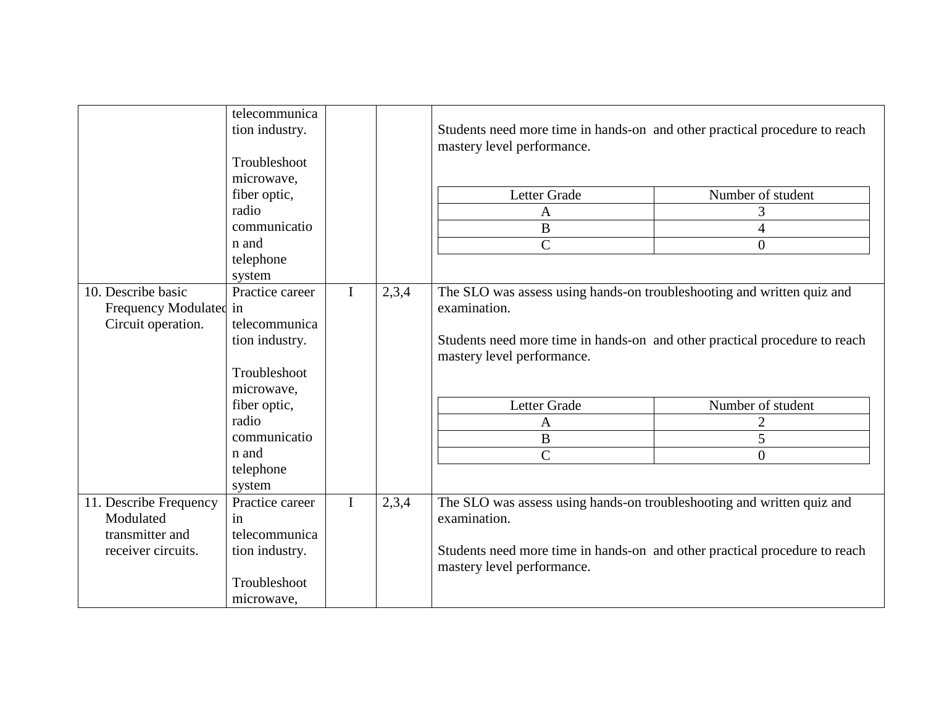|                        | telecommunica<br>tion industry. |             |       | Students need more time in hands-on and other practical procedure to reach<br>mastery level performance. |                   |
|------------------------|---------------------------------|-------------|-------|----------------------------------------------------------------------------------------------------------|-------------------|
|                        | Troubleshoot                    |             |       |                                                                                                          |                   |
|                        | microwave,                      |             |       |                                                                                                          |                   |
|                        | fiber optic,                    |             |       | Letter Grade                                                                                             | Number of student |
|                        | radio                           |             |       | $\mathbf{A}$                                                                                             | 3                 |
|                        | communicatio                    |             |       | B                                                                                                        | 4                 |
|                        | n and                           |             |       | $\overline{C}$                                                                                           | $\Omega$          |
|                        | telephone                       |             |       |                                                                                                          |                   |
|                        | system                          |             |       |                                                                                                          |                   |
| 10. Describe basic     | Practice career                 | $\mathbf I$ | 2,3,4 | The SLO was assess using hands-on troubleshooting and written quiz and                                   |                   |
| Frequency Modulated in |                                 |             |       | examination.                                                                                             |                   |
| Circuit operation.     | telecommunica                   |             |       |                                                                                                          |                   |
|                        | tion industry.                  |             |       | Students need more time in hands-on and other practical procedure to reach                               |                   |
|                        |                                 |             |       | mastery level performance.                                                                               |                   |
|                        | Troubleshoot                    |             |       |                                                                                                          |                   |
|                        | microwave,                      |             |       |                                                                                                          |                   |
|                        | fiber optic,                    |             |       | Letter Grade                                                                                             | Number of student |
|                        | radio                           |             |       | $\mathbf{A}$                                                                                             | $\overline{2}$    |
|                        | communicatio                    |             |       | $\, {\bf B}$                                                                                             | 5                 |
|                        | n and                           |             |       | $\overline{C}$                                                                                           | $\overline{0}$    |
|                        | telephone                       |             |       |                                                                                                          |                   |
|                        | system                          |             |       |                                                                                                          |                   |
| 11. Describe Frequency | Practice career                 | $\mathbf I$ | 2,3,4 | The SLO was assess using hands-on troubleshooting and written quiz and                                   |                   |
| Modulated              | in                              |             |       | examination.                                                                                             |                   |
| transmitter and        | telecommunica                   |             |       |                                                                                                          |                   |
| receiver circuits.     | tion industry.                  |             |       | Students need more time in hands-on and other practical procedure to reach<br>mastery level performance. |                   |
|                        | Troubleshoot                    |             |       |                                                                                                          |                   |
|                        | microwave,                      |             |       |                                                                                                          |                   |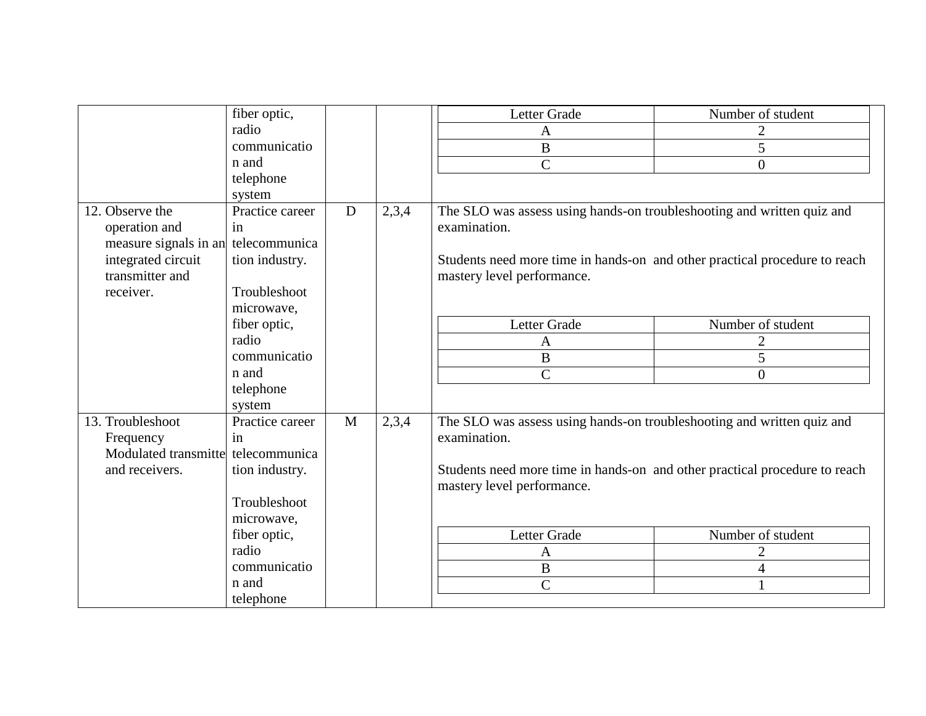|                                     | fiber optic,    |              |       | Letter Grade                                                               | Number of student |
|-------------------------------------|-----------------|--------------|-------|----------------------------------------------------------------------------|-------------------|
|                                     | radio           |              |       | A                                                                          | 2                 |
|                                     | communicatio    |              |       | B                                                                          | 5                 |
|                                     | n and           |              |       | $\overline{C}$                                                             | $\theta$          |
|                                     | telephone       |              |       |                                                                            |                   |
|                                     | system          |              |       |                                                                            |                   |
| 12. Observe the                     | Practice career | D            | 2,3,4 | The SLO was assess using hands-on troubleshooting and written quiz and     |                   |
| operation and                       | in              |              |       | examination.                                                               |                   |
| measure signals in an telecommunica |                 |              |       |                                                                            |                   |
| integrated circuit                  | tion industry.  |              |       | Students need more time in hands-on and other practical procedure to reach |                   |
| transmitter and                     |                 |              |       | mastery level performance.                                                 |                   |
| receiver.                           | Troubleshoot    |              |       |                                                                            |                   |
|                                     | microwave,      |              |       |                                                                            |                   |
|                                     | fiber optic,    |              |       | Letter Grade                                                               | Number of student |
|                                     | radio           |              |       | A                                                                          | $\overline{2}$    |
|                                     | communicatio    |              |       | $\bf{B}$                                                                   | 5                 |
|                                     | n and           |              |       | $\overline{C}$                                                             | $\theta$          |
|                                     | telephone       |              |       |                                                                            |                   |
|                                     | system          |              |       |                                                                            |                   |
| 13. Troubleshoot                    | Practice career | $\mathbf{M}$ | 2,3,4 | The SLO was assess using hands-on troubleshooting and written quiz and     |                   |
| Frequency                           | in              |              |       | examination.                                                               |                   |
| Modulated transmitte                | telecommunica   |              |       |                                                                            |                   |
| and receivers.                      | tion industry.  |              |       | Students need more time in hands-on and other practical procedure to reach |                   |
|                                     |                 |              |       | mastery level performance.                                                 |                   |
|                                     | Troubleshoot    |              |       |                                                                            |                   |
|                                     | microwave,      |              |       |                                                                            |                   |
|                                     | fiber optic,    |              |       | Letter Grade                                                               | Number of student |
|                                     | radio           |              |       | A                                                                          | 2                 |
|                                     | communicatio    |              |       | $\, {\bf B}$                                                               | 4                 |
|                                     | n and           |              |       | $\overline{C}$                                                             |                   |
|                                     | telephone       |              |       |                                                                            |                   |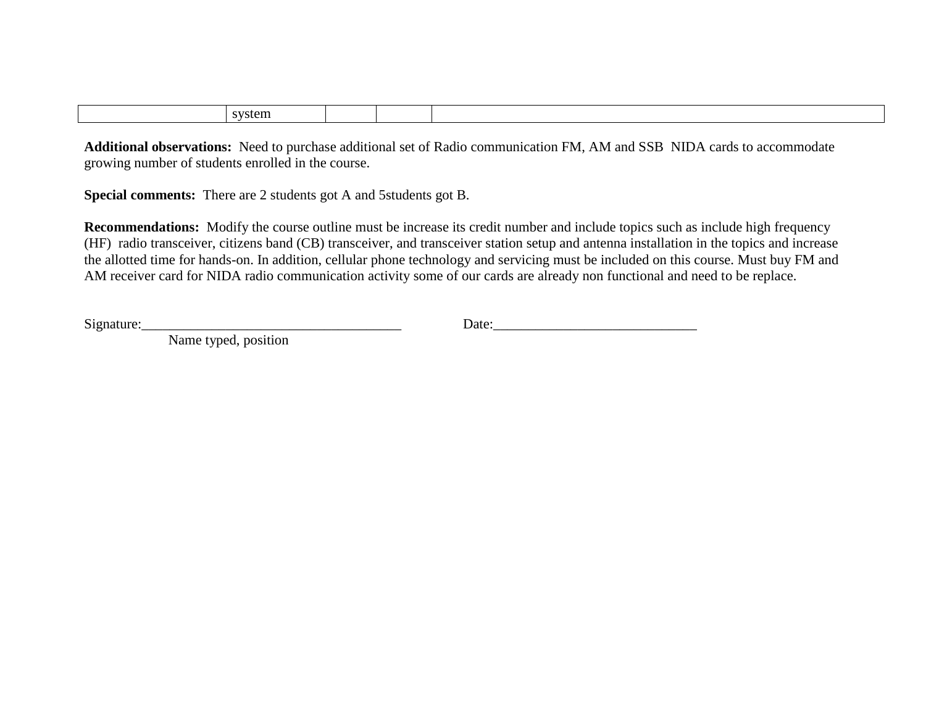**Additional observations:** Need to purchase additional set of Radio communication FM, AM and SSB NIDA cards to accommodate growing number of students enrolled in the course.

**Special comments:** There are 2 students got A and 5students got B.

**Recommendations:** Modify the course outline must be increase its credit number and include topics such as include high frequency (HF) radio transceiver, citizens band (CB) transceiver, and transceiver station setup and antenna installation in the topics and increase the allotted time for hands-on. In addition, cellular phone technology and servicing must be included on this course. Must buy FM and AM receiver card for NIDA radio communication activity some of our cards are already non functional and need to be replace.

 $Signature:$  Date: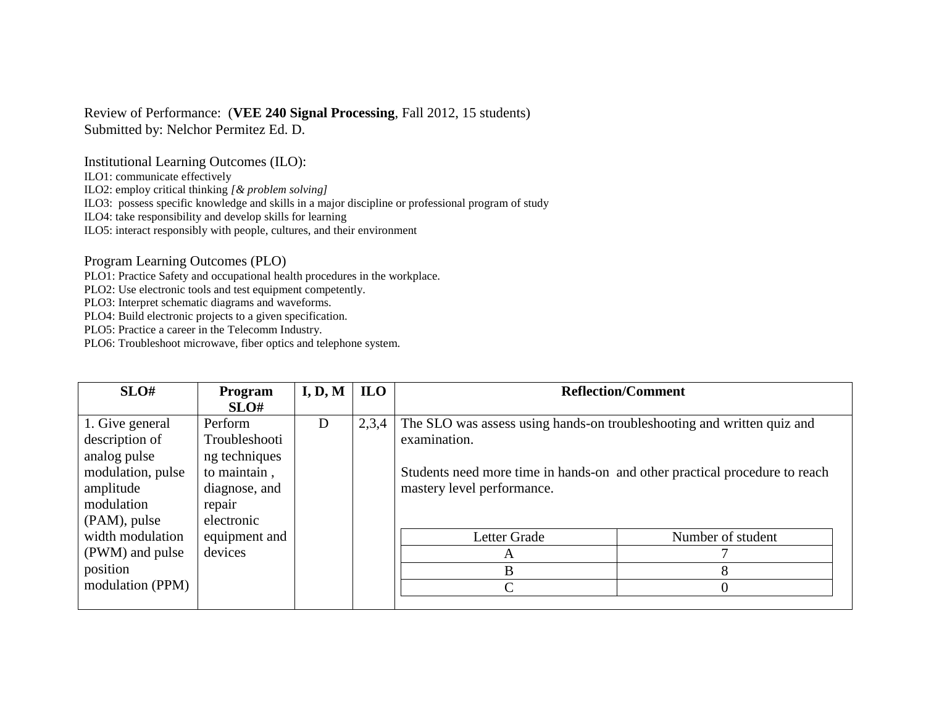### Review of Performance: (**VEE 240 Signal Processing**, Fall 2012, 15 students) Submitted by: Nelchor Permitez Ed. D.

Institutional Learning Outcomes (ILO):

ILO1: communicate effectively

ILO2: employ critical thinking *[& problem solving]*

ILO3: possess specific knowledge and skills in a major discipline or professional program of study

ILO4: take responsibility and develop skills for learning

ILO5: interact responsibly with people, cultures, and their environment

Program Learning Outcomes (PLO)

PLO1: Practice Safety and occupational health procedures in the workplace.

PLO2: Use electronic tools and test equipment competently.

PLO3: Interpret schematic diagrams and waveforms.

PLO4: Build electronic projects to a given specification.

PLO5: Practice a career in the Telecomm Industry.

| SLO#              | Program       | I, D, M | <b>ILO</b> |                                                                            | <b>Reflection/Comment</b> |
|-------------------|---------------|---------|------------|----------------------------------------------------------------------------|---------------------------|
|                   | SLO#          |         |            |                                                                            |                           |
| 1. Give general   | Perform       | D       | 2,3,4      | The SLO was assess using hands-on troubleshooting and written quiz and     |                           |
| description of    | Troubleshooti |         |            | examination.                                                               |                           |
| analog pulse      | ng techniques |         |            |                                                                            |                           |
| modulation, pulse | to maintain,  |         |            | Students need more time in hands-on and other practical procedure to reach |                           |
| amplitude         | diagnose, and |         |            | mastery level performance.                                                 |                           |
| modulation        | repair        |         |            |                                                                            |                           |
| (PAM), pulse      | electronic    |         |            |                                                                            |                           |
| width modulation  | equipment and |         |            | Letter Grade                                                               | Number of student         |
| (PWM) and pulse   | devices       |         |            | Α                                                                          |                           |
| position          |               |         |            | B                                                                          |                           |
| modulation (PPM)  |               |         |            | ⌒                                                                          | $\Omega$                  |
|                   |               |         |            |                                                                            |                           |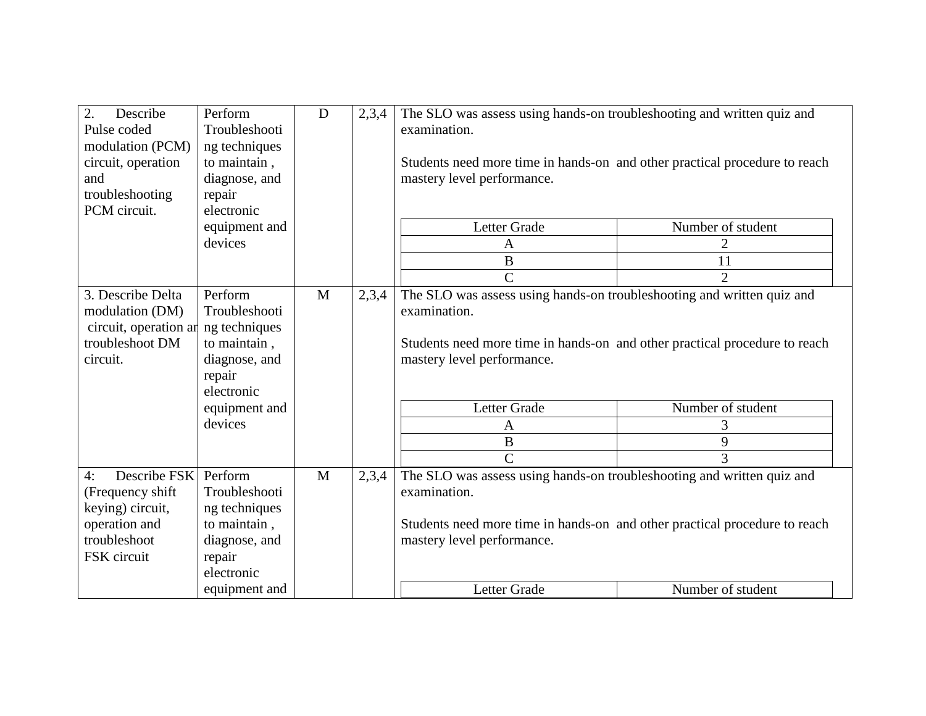| 2.<br>Describe<br>Pulse coded<br>modulation (PCM)<br>circuit, operation<br>and<br>troubleshooting          | Perform<br>Troubleshooti<br>ng techniques<br>to maintain,<br>diagnose, and<br>repair               | D | 2,3,4 | The SLO was assess using hands-on troubleshooting and written quiz and<br>examination.<br>Students need more time in hands-on and other practical procedure to reach<br>mastery level performance. |                   |
|------------------------------------------------------------------------------------------------------------|----------------------------------------------------------------------------------------------------|---|-------|----------------------------------------------------------------------------------------------------------------------------------------------------------------------------------------------------|-------------------|
| PCM circuit.                                                                                               | electronic                                                                                         |   |       |                                                                                                                                                                                                    |                   |
|                                                                                                            | equipment and                                                                                      |   |       | Letter Grade                                                                                                                                                                                       | Number of student |
|                                                                                                            | devices                                                                                            |   |       | A                                                                                                                                                                                                  | 2                 |
|                                                                                                            |                                                                                                    |   |       | B                                                                                                                                                                                                  | 11                |
|                                                                                                            |                                                                                                    |   |       | $\overline{C}$                                                                                                                                                                                     | $\overline{2}$    |
| 3. Describe Delta<br>modulation (DM)<br>circuit, operation ar<br>troubleshoot DM<br>circuit.               | Perform<br>Troubleshooti<br>ng techniques<br>to maintain,<br>diagnose, and<br>repair<br>electronic | M | 2,3,4 | The SLO was assess using hands-on troubleshooting and written quiz and<br>examination.<br>Students need more time in hands-on and other practical procedure to reach<br>mastery level performance. |                   |
|                                                                                                            | equipment and                                                                                      |   |       | Letter Grade                                                                                                                                                                                       | Number of student |
|                                                                                                            | devices                                                                                            |   |       | A                                                                                                                                                                                                  | 3                 |
|                                                                                                            |                                                                                                    |   |       | $\bf{B}$                                                                                                                                                                                           | 9                 |
|                                                                                                            |                                                                                                    |   |       | $\overline{C}$                                                                                                                                                                                     | 3                 |
| Describe FSK<br>4:<br>(Frequency shift<br>keying) circuit,<br>operation and<br>troubleshoot<br>FSK circuit | Perform<br>Troubleshooti<br>ng techniques<br>to maintain,<br>diagnose, and<br>repair<br>electronic | M | 2,3,4 | The SLO was assess using hands-on troubleshooting and written quiz and<br>examination.<br>Students need more time in hands-on and other practical procedure to reach<br>mastery level performance. |                   |
|                                                                                                            | equipment and                                                                                      |   |       | Letter Grade                                                                                                                                                                                       | Number of student |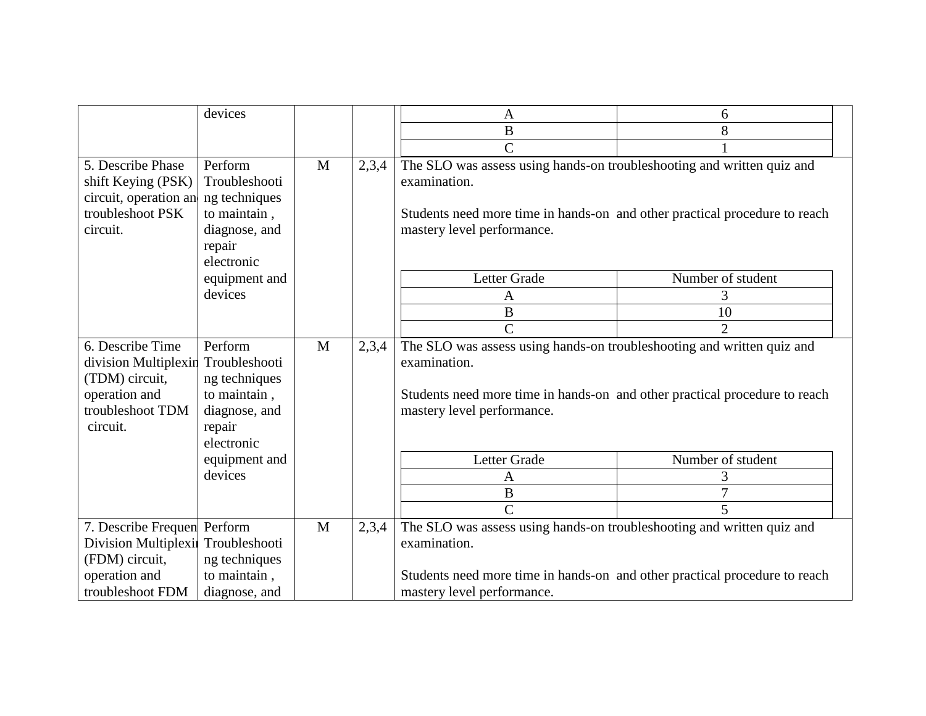| devices                                                                                                                                                                                                                                         | 6<br>A                                                                                                                                                                             |
|-------------------------------------------------------------------------------------------------------------------------------------------------------------------------------------------------------------------------------------------------|------------------------------------------------------------------------------------------------------------------------------------------------------------------------------------|
|                                                                                                                                                                                                                                                 | $\bf{B}$<br>8                                                                                                                                                                      |
|                                                                                                                                                                                                                                                 | $\overline{C}$                                                                                                                                                                     |
| 5. Describe Phase<br>Perform<br>$\mathbf{M}$<br>2,3,4<br>shift Keying (PSK)<br>Troubleshooti<br>examination.<br>circuit, operation an<br>ng techniques<br>troubleshoot PSK<br>to maintain,<br>circuit.<br>diagnose, and<br>repair<br>electronic | The SLO was assess using hands-on troubleshooting and written quiz and<br>Students need more time in hands-on and other practical procedure to reach<br>mastery level performance. |
| equipment and                                                                                                                                                                                                                                   | Letter Grade<br>Number of student                                                                                                                                                  |
| devices                                                                                                                                                                                                                                         | A                                                                                                                                                                                  |
|                                                                                                                                                                                                                                                 | B<br>10                                                                                                                                                                            |
|                                                                                                                                                                                                                                                 | $\overline{C}$<br>$\overline{2}$                                                                                                                                                   |
| 6. Describe Time<br>Perform<br>M<br>2,3,4<br>division Multiplexin<br>Troubleshooti<br>examination.<br>(TDM) circuit,<br>ng techniques<br>operation and<br>to maintain,<br>troubleshoot TDM<br>diagnose, and<br>circuit.<br>repair<br>electronic | The SLO was assess using hands-on troubleshooting and written quiz and<br>Students need more time in hands-on and other practical procedure to reach<br>mastery level performance. |
| equipment and                                                                                                                                                                                                                                   | Letter Grade<br>Number of student                                                                                                                                                  |
| devices                                                                                                                                                                                                                                         | 3<br>A                                                                                                                                                                             |
|                                                                                                                                                                                                                                                 | 7<br>$\bf{B}$                                                                                                                                                                      |
|                                                                                                                                                                                                                                                 | $\overline{\text{C}}$<br>5                                                                                                                                                         |
| 7. Describe Frequen Perform<br>M<br>2,3,4<br>Division Multiplexii Troubleshooti<br>examination.<br>(FDM) circuit,<br>ng techniques                                                                                                              | The SLO was assess using hands-on troubleshooting and written quiz and                                                                                                             |
| operation and<br>to maintain,<br>troubleshoot FDM<br>diagnose, and                                                                                                                                                                              | Students need more time in hands-on and other practical procedure to reach<br>mastery level performance.                                                                           |